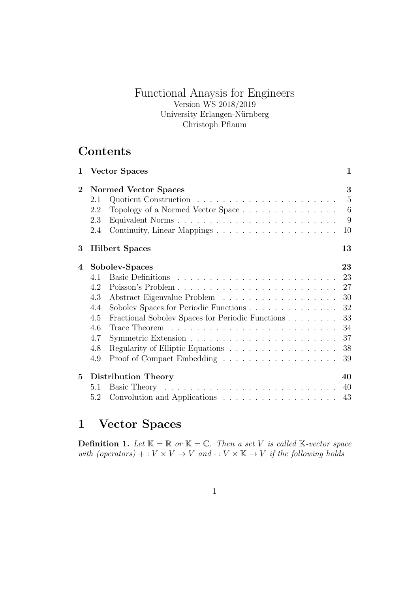# Functional Anaysis for Engineers Version WS 2018/2019 University Erlangen-Nürnberg Christoph Pflaum

# **Contents**

| $\mathbf{1}$ | <b>Vector Spaces</b>                                                                                                                                                       | $\mathbf{1}$                                             |
|--------------|----------------------------------------------------------------------------------------------------------------------------------------------------------------------------|----------------------------------------------------------|
| $\bf{2}$     | Normed Vector Spaces<br>2.1<br>Topology of a Normed Vector Space<br>2.2<br>Equivalent Norms<br>2.3<br>2.4                                                                  | 3<br>$\overline{5}$<br>6<br>9<br>10                      |
| 3            | <b>Hilbert Spaces</b>                                                                                                                                                      | 13                                                       |
| 4            | Sobolev-Spaces<br>4.1<br>4.2<br>4.3<br>Sobolev Spaces for Periodic Functions<br>4.4<br>Fractional Sobolev Spaces for Periodic Functions<br>4.5<br>4.6<br>4.7<br>4.8<br>4.9 | 23<br>23<br>27<br>30<br>32<br>33<br>34<br>37<br>38<br>39 |
| 5            | Distribution Theory<br>5.1<br>5.2                                                                                                                                          | 40<br>40<br>43                                           |

# **1 Vector Spaces**

**Definition 1.** Let  $\mathbb{K} = \mathbb{R}$  or  $\mathbb{K} = \mathbb{C}$ . Then a set *V* is called  $\mathbb{K}$ -vector space *with (operators)* + :  $V \times V \rightarrow V$  *and*  $\cdot : V \times K \rightarrow V$  *if the following holds*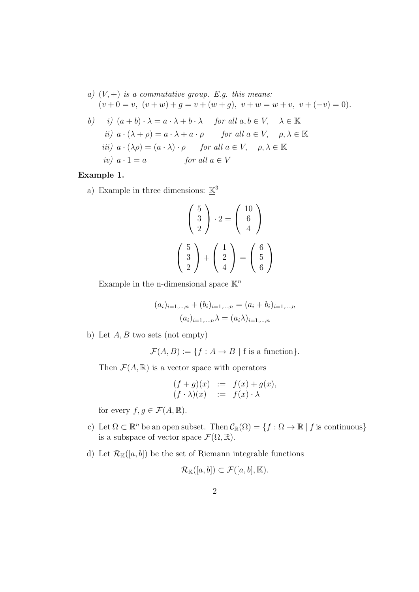a) 
$$
(V, +)
$$
 is a commutative group. E.g. this means:  $(v + 0 = v, (v + w) + g = v + (w + g), v + w = w + v, v + (-v) = 0).$ 

b) i) 
$$
(a + b) \cdot \lambda = a \cdot \lambda + b \cdot \lambda
$$
 for all  $a, b \in V$ ,  $\lambda \in \mathbb{K}$   
ii)  $a \cdot (\lambda + \rho) = a \cdot \lambda + a \cdot \rho$  for all  $a \in V$ ,  $\rho, \lambda \in \mathbb{K}$   
iii)  $a \cdot (\lambda \rho) = (a \cdot \lambda) \cdot \rho$  for all  $a \in V$ ,  $\rho, \lambda \in \mathbb{K}$   
iv)  $a \cdot 1 = a$  for all  $a \in V$ 

#### **Example 1.**

a) Example in three dimensions:  $\underline{\mathbb{K}}^3$ 

$$
\begin{pmatrix} 5 \\ 3 \\ 2 \end{pmatrix} \cdot 2 = \begin{pmatrix} 10 \\ 6 \\ 4 \end{pmatrix}
$$

$$
\begin{pmatrix} 5 \\ 3 \\ 2 \end{pmatrix} + \begin{pmatrix} 1 \\ 2 \\ 4 \end{pmatrix} = \begin{pmatrix} 6 \\ 5 \\ 6 \end{pmatrix}
$$

Example in the n-dimensional space  $\underline{\mathbb{K}}^n$ 

$$
(a_i)_{i=1,\dots,n} + (b_i)_{i=1,\dots,n} = (a_i + b_i)_{i=1,\dots,n}
$$

$$
(a_i)_{i=1,\dots,n} \lambda = (a_i \lambda)_{i=1,\dots,n}
$$

b) Let *A, B* two sets (not empty)

 $\mathcal{F}(A, B) := \{f : A \to B \mid f \text{ is a function}\}.$ 

Then  $\mathcal{F}(A,\mathbb{R})$  is a vector space with operators

$$
(f+g)(x) := f(x) + g(x),
$$
  
\n
$$
(f \cdot \lambda)(x) := f(x) \cdot \lambda
$$

for every  $f, g \in \mathcal{F}(A, \mathbb{R})$ .

- c) Let  $\Omega \subset \mathbb{R}^n$  be an open subset. Then  $\mathcal{C}_{\mathbb{R}}(\Omega) = \{f : \Omega \to \mathbb{R} \mid f \text{ is continuous}\}\$ is a subspace of vector space  $\mathcal{F}(\Omega,\mathbb{R})$ .
- d) Let  $\mathcal{R}_{\mathbb{K}}([a, b])$  be the set of Riemann integrable functions

$$
\mathcal{R}_{\mathbb{K}}([a,b]) \subset \mathcal{F}([a,b],\mathbb{K}).
$$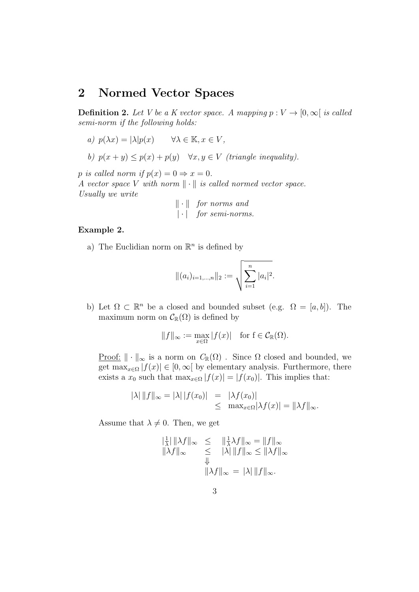# **2 Normed Vector Spaces**

**Definition 2.** Let V be a K vector space. A mapping  $p: V \to [0, \infty]$  is called *semi-norm if the following holds:*

- *a)*  $p(\lambda x) = |\lambda|p(x)$   $\forall \lambda \in \mathbb{K}, x \in V$ ,
- *b)*  $p(x + y) \leq p(x) + p(y) \quad \forall x, y \in V$  *(triangle inequality).*

*p is called norm if*  $p(x) = 0 \Rightarrow x = 0$ *.* 

*A vector space V with norm ∥ · ∥ is called normed vector space. Usually we write*

$$
\|\cdot\| \quad \textit{for norms and} \\ |\cdot| \quad \textit{for semi-norms.}
$$

#### **Example 2.**

a) The Euclidian norm on  $\mathbb{R}^n$  is defined by

$$
\|(a_i)_{i=1,\dots,n}\|_2 := \sqrt{\sum_{i=1}^n |a_i|^2}.
$$

b) Let  $\Omega \subset \mathbb{R}^n$  be a closed and bounded subset (e.g.  $\Omega = [a, b]$ ). The maximum norm on  $\mathcal{C}_{\mathbb{R}}(\Omega)$  is defined by

$$
||f||_{\infty} := \max_{x \in \Omega} |f(x)| \text{ for } f \in C_{\mathbb{R}}(\Omega).
$$

<u>Proof:</u>  $|| \cdot ||_{\infty}$  is a norm on  $C_{\mathbb{R}}(\Omega)$ . Since  $\Omega$  closed and bounded, we get  $\max_{x \in \Omega} |f(x)| \in [0, \infty)$  by elementary analysis. Furthermore, there exists a  $x_0$  such that  $\max_{x \in \Omega} |f(x)| = |f(x_0)|$ . This implies that:

$$
|\lambda| \|f\|_{\infty} = |\lambda| |f(x_0)| = |\lambda f(x_0)|
$$
  
\n
$$
\leq \max_{x \in \Omega} |\lambda f(x)| = ||\lambda f||_{\infty}.
$$

Assume that  $\lambda \neq 0$ . Then, we get

$$
\|\frac{1}{\lambda}\| \|\lambda f\|_{\infty} \leq \|\frac{1}{\lambda}\lambda f\|_{\infty} = \|f\|_{\infty}
$$
  

$$
\|\lambda f\|_{\infty} \leq \|\lambda\| \|f\|_{\infty} \leq \|\lambda f\|_{\infty}
$$
  

$$
\|\lambda f\|_{\infty} = \|\lambda\| \|f\|_{\infty}.
$$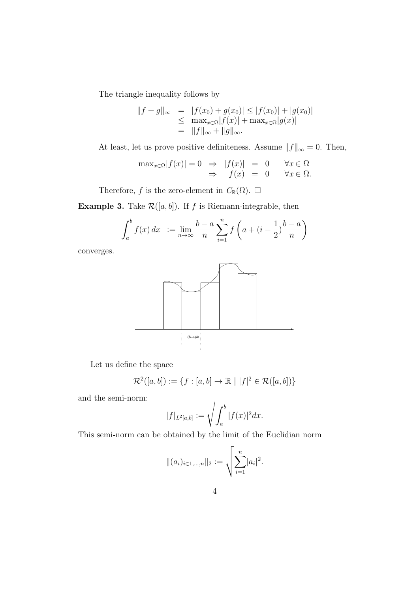The triangle inequality follows by

$$
||f + g||_{\infty} = |f(x_0) + g(x_0)| \le |f(x_0)| + |g(x_0)|
$$
  
\n
$$
\le \max_{x \in \Omega} |f(x)| + \max_{x \in \Omega} |g(x)|
$$
  
\n
$$
= ||f||_{\infty} + ||g||_{\infty}.
$$

At least, let us prove positive definiteness. Assume  $||f||_{\infty} = 0$ . Then,

$$
\max_{x \in \Omega} |f(x)| = 0 \Rightarrow |f(x)| = 0 \forall x \in \Omega
$$
  

$$
\Rightarrow f(x) = 0 \forall x \in \Omega.
$$

Therefore, *f* is the zero-element in  $C_{\mathbb{R}}(\Omega)$ .  $\square$ 

**Example 3.** Take  $\mathcal{R}([a, b])$ . If *f* is Riemann-integrable, then

$$
\int_{a}^{b} f(x) dx = \lim_{n \to \infty} \frac{b-a}{n} \sum_{i=1}^{n} f\left(a + (i - \frac{1}{2}) \frac{b-a}{n}\right)
$$

converges.



Let us define the space

$$
\mathcal{R}^2([a,b]) := \{ f : [a,b] \to \mathbb{R} \mid |f|^2 \in \mathcal{R}([a,b]) \}
$$

and the semi-norm:

$$
|f|_{L^2[a,b]} := \sqrt{\int_a^b |f(x)|^2 dx}.
$$

This semi-norm can be obtained by the limit of the Euclidian norm

$$
\|(a_i)_{i\in 1,\dots,n}\|_2 := \sqrt{\sum_{i=1}^n |a_i|^2}.
$$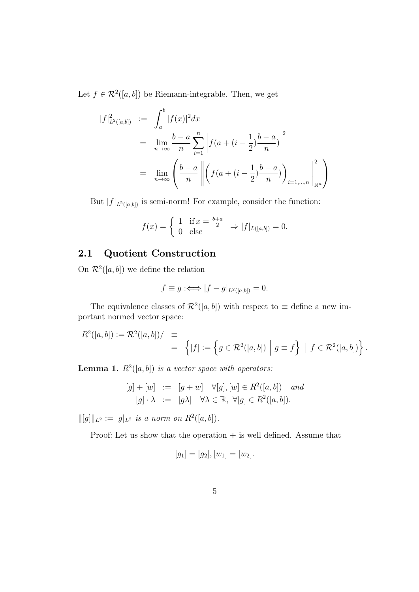Let  $f \in \mathcal{R}^2([a, b])$  be Riemann-integrable. Then, we get

$$
|f|_{L^{2}([a,b])}^{2} := \int_{a}^{b} |f(x)|^{2} dx
$$
  
= 
$$
\lim_{n \to \infty} \frac{b-a}{n} \sum_{i=1}^{n} \left| f(a + (i - \frac{1}{2}) \frac{b-a}{n}) \right|^{2}
$$
  
= 
$$
\lim_{n \to \infty} \left( \frac{b-a}{n} \left\| \left( f(a + (i - \frac{1}{2}) \frac{b-a}{n}) \right)_{i=1,\dots,n} \right\|_{\mathbb{R}^{n}}^{2} \right)
$$

But  $|f|_{L^2([a,b])}$  is semi-norm! For example, consider the function:

$$
f(x) = \begin{cases} 1 & \text{if } x = \frac{b+a}{2} \\ 0 & \text{else} \end{cases} \Rightarrow |f|_{L([a,b])} = 0.
$$

## **2.1 Quotient Construction**

On  $\mathcal{R}^2([a, b])$  we define the relation

$$
f \equiv g : \iff |f - g|_{L^2([a,b])} = 0.
$$

The equivalence classes of  $\mathcal{R}^2([a, b])$  with respect to  $\equiv$  define a new important normed vector space:

$$
R^2([a, b]) := \mathcal{R}^2([a, b]) / \equiv
$$
  
=  $\{ [f] := \{ g \in \mathcal{R}^2([a, b]) \mid g \equiv f \} \mid f \in \mathcal{R}^2([a, b]) \}.$ 

**Lemma 1.**  $R^2([a, b])$  *is a vector space with operators:* 

$$
[g] + [w] := [g+w] \quad \forall [g], [w] \in R^2([a,b]) \quad and
$$

$$
[g] \cdot \lambda := [g\lambda] \quad \forall \lambda \in \mathbb{R}, \ \forall [g] \in R^2([a,b]).
$$

 $||[g]||_{L^2} := |g|_{L^2}$  *is a norm on*  $R^2([a, b]).$ 

<u>Proof:</u> Let us show that the operation  $+$  is well defined. Assume that

$$
[g_1] = [g_2], [w_1] = [w_2].
$$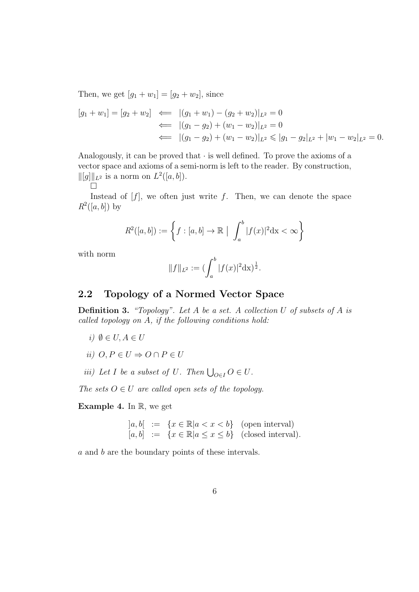Then, we get  $[g_1 + w_1] = [g_2 + w_2]$ , since

$$
[g_1 + w_1] = [g_2 + w_2] \iff |(g_1 + w_1) - (g_2 + w_2)|_{L^2} = 0
$$
  

$$
\iff |(g_1 - g_2) + (w_1 - w_2)|_{L^2} = 0
$$
  

$$
\iff |(g_1 - g_2) + (w_1 - w_2)|_{L^2} \le |g_1 - g_2|_{L^2} + |w_1 - w_2|_{L^2} = 0.
$$

Analogously, it can be proved that  $\cdot$  is well defined. To prove the axioms of a vector space and axioms of a semi-norm is left to the reader. By construction, *∥*[*g*]*∥L*<sup>2</sup> is a norm on *L* 2 ([*a, b*]).  $\Box$ 

Instead of  $[f]$ , we often just write  $f$ . Then, we can denote the space  $R^2([a, b])$  by

$$
R^2([a,b]):=\left\{f:[a,b]\to\mathbb{R} \mid \int_a^b |f(x)|^2 dx < \infty\right\}
$$

with norm

$$
||f||_{L^2} := (\int_a^b |f(x)|^2 dx)^{\frac{1}{2}}.
$$

## **2.2 Topology of a Normed Vector Space**

**Definition 3.** *"Topology". Let A be a set. A collection U of subsets of A is called topology on A, if the following conditions hold:*

- *i*)  $\emptyset$  ∈ *U*, *A* ∈ *U*
- *ii*)  $O, P ∈ U \Rightarrow O ∩ P ∈ U$
- *iii*) Let *I* be a subset of *U. Then*  $\bigcup_{O \in I} O \in U$ *.*

*The sets*  $O \in U$  *are called open sets of the topology.* 

**Example 4.** In R, we get

$$
[a, b] := \{x \in \mathbb{R} | a < x < b\} \quad \text{(open interval)}[a, b] := \{x \in \mathbb{R} | a \le x \le b\} \quad \text{(closed interval)}.
$$

*a* and *b* are the boundary points of these intervals.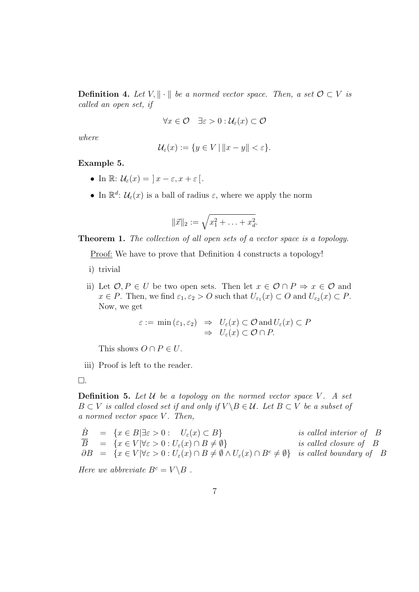**Definition 4.** *Let*  $V, \|\cdot\|$  *be a normed vector space. Then, a set*  $O \subset V$  *is called an open set, if*

$$
\forall x \in \mathcal{O} \quad \exists \varepsilon > 0 : \mathcal{U}_{\varepsilon}(x) \subset \mathcal{O}
$$

*where*

$$
\mathcal{U}_{\varepsilon}(x) := \{ y \in V \, | \, \|x - y\| < \varepsilon \}.
$$

**Example 5.**

- In  $\mathbb{R}: \mathcal{U}_{\varepsilon}(x) = |x \varepsilon, x + \varepsilon|$ .
- In  $\mathbb{R}^d$ :  $\mathcal{U}_{\varepsilon}(x)$  is a ball of radius  $\varepsilon$ , where we apply the norm

$$
\|\vec{x}\|_2 := \sqrt{x_1^2 + \ldots + x_d^2}.
$$

**Theorem 1.** *The collection of all open sets of a vector space is a topology.*

Proof: We have to prove that Definition 4 constructs a topology!

- i) trivial
- ii) Let  $\mathcal{O}, P \in U$  be two open sets. Then let  $x \in \mathcal{O} \cap P \Rightarrow x \in \mathcal{O}$  and  $x \in P$ . Then, we find  $\varepsilon_1, \varepsilon_2 > O$  such that  $U_{\varepsilon_1}(x) \subset O$  and  $U_{\varepsilon_2}(x) \subset P$ . Now, we get

$$
\varepsilon := \min(\varepsilon_1, \varepsilon_2) \Rightarrow U_{\varepsilon}(x) \subset \mathcal{O} \text{ and } U_{\varepsilon}(x) \subset P
$$
  

$$
\Rightarrow U_{\varepsilon}(x) \subset \mathcal{O} \cap P.
$$

This shows  $O \cap P \in U$ .

iii) Proof is left to the reader.

$$
\Box.
$$

**Definition 5.** Let  $U$  be a topology on the normed vector space  $V$ . A set *B*  $\subset$  *V is called closed set if and only if*  $V \ B \in U$ *. Let B*  $\subset$  *V be a subset of a normed vector space V . Then,*

$$
\dot{B} = \{x \in B | \exists \varepsilon > 0 : U_{\varepsilon}(x) \subset B \} \t\t is called interior of B\n
$$
\overline{B} = \{x \in V | \forall \varepsilon > 0 : U_{\varepsilon}(x) \cap B \neq \emptyset \} \t\t is called closure of B\n
$$
\partial B = \{x \in V | \forall \varepsilon > 0 : U_{\varepsilon}(x) \cap B \neq \emptyset \land U_{\varepsilon}(x) \cap B^c \neq \emptyset \} \t\t is called boundary of B
$$
$$
$$

*Here we abbreviate*  $B^c = V \ B$ .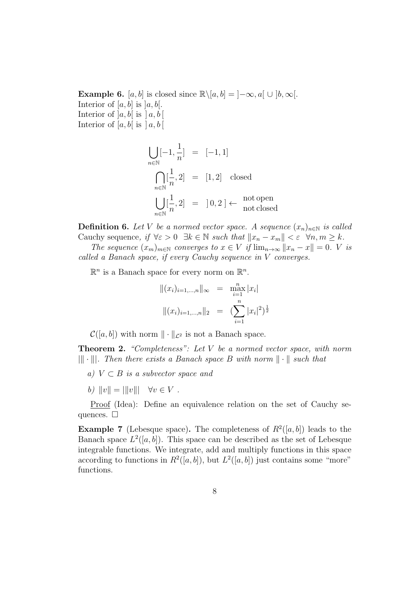**Example 6.** [*a, b*] is closed since  $\mathbb{R}\setminus [a, b] = ]-\infty, a[ \cup [b, \infty[$ . Interior of  $[a, b]$  is  $[a, b]$ . Interior of  $[a, b]$  is  $[a, b]$ Interior of  $[a, b]$  is  $[a, b]$ 

$$
\bigcup_{n \in \mathbb{N}} [-1, \frac{1}{n}] = [-1, 1]
$$
\n
$$
\bigcap_{n \in \mathbb{N}} [\frac{1}{n}, 2] = [1, 2] \text{ closed}
$$
\n
$$
\bigcup_{n \in \mathbb{N}} [\frac{1}{n}, 2] = [0, 2] \leftarrow \text{not open}
$$
\nnot closed

**Definition 6.** Let *V* be a normed vector space. A sequence  $(x_n)_{n \in \mathbb{N}}$  is called Cauchy sequence, if  $\forall \varepsilon > 0 \ \exists k \in \mathbb{N} \ such \ that \  $||x_n - x_m|| < \varepsilon \ \ \forall n, m \geq k$ .$ 

*The sequence*  $(x_m)_{m \in \mathbb{N}}$  *converges to*  $x \in V$  *if*  $\lim_{n \to \infty} ||x_n - x|| = 0$ . *V is called a Banach space, if every Cauchy sequence in V converges.*

 $\mathbb{R}^n$  is a Banach space for every norm on  $\mathbb{R}^n$ .

$$
||(x_i)_{i=1,\dots,n}||_{\infty} = \max_{i=1}^{n} |x_i|
$$

$$
||(x_i)_{i=1,\dots,n}||_2 = (\sum_{i=1}^{n} |x_i|^2)^{\frac{1}{2}}
$$

 $\mathcal{C}([a, b])$  with norm  $\|\cdot\|_{\mathcal{L}^2}$  is not a Banach space.

**Theorem 2.** *"Completeness": Let V be a normed vector space, with norm |∥ · ∥|. Then there exists a Banach space B with norm ∥ · ∥ such that*

- *a) V ⊂ B is a subvector space and*
- *b*)  $||v|| = |||v||$   $∀v ∈ V$ .

Proof (Idea): Define an equivalence relation on the set of Cauchy sequences.  $\square$ 

**Example 7** (Lebesque space). The completeness of  $R^2([a, b])$  leads to the Banach space  $L^2([a, b])$ . This space can be described as the set of Lebesque integrable functions. We integrate, add and multiply functions in this space according to functions in  $R^2([a, b])$ , but  $L^2([a, b])$  just contains some "more" functions.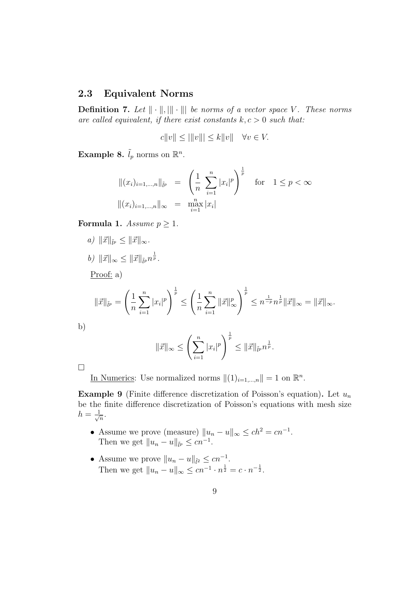## **2.3 Equivalent Norms**

**Definition 7.** Let  $\|\cdot\|$ ,  $\|\cdot\|$  be norms of a vector space V. These norms *are called equivalent, if there exist constants*  $k, c > 0$  *such that:* 

$$
c||v|| \le |||v||| \le k||v|| \quad \forall v \in V.
$$

**Example 8.**  $\tilde{l}_p$  norms on  $\mathbb{R}^n$ .

$$
||(x_i)_{i=1,\dots,n}||_{\tilde{l}^p} = \left(\frac{1}{n} \sum_{i=1}^n |x_i|^p\right)^{\frac{1}{p}} \text{ for } 1 \le p < \infty
$$
  

$$
||(x_i)_{i=1,\dots,n}||_{\infty} = \max_{i=1}^n |x_i|
$$

**Formula 1.** *Assume*  $p \geq 1$ *.* 

- $a)$   $\|\vec{x}\|_{\tilde{l}^p} \leq \|\vec{x}\|_{\infty}$ .
- *b*)  $\|\vec{x}\|_{\infty} \le \|\vec{x}\|_{\tilde{l}^p} n^{\frac{1}{p}}$ .

Proof: a)

$$
\|\vec{x}\|_{\tilde{l}^{p}} = \left(\frac{1}{n}\sum_{i=1}^{n}|x_{i}|^{p}\right)^{\frac{1}{p}} \leq \left(\frac{1}{n}\sum_{i=1}^{n}\|\vec{x}\|_{\infty}^{p}\right)^{\frac{1}{p}} \leq n^{\frac{1}{-p}}n^{\frac{1}{p}}\|\vec{x}\|_{\infty} = \|\vec{x}\|_{\infty}.
$$

b)

$$
\|\vec{x}\|_{\infty} \le \left(\sum_{i=1}^{n} |x_i|^p\right)^{\frac{1}{p}} \le \|\vec{x}\|_{\tilde{l}^p} n^{\frac{1}{p}}.
$$

□

In Numerics: Use normalized norms  $||(1)_{i=1,\dots,n}|| = 1$  on  $\mathbb{R}^n$ .

**Example 9** (Finite difference discretization of Poisson's equation)**.** Let *u<sup>n</sup>* be the finite difference discretization of Poisson's equations with mesh size  $h=\frac{1}{\sqrt{2}}$  $\frac{1}{n}$ .

- Assume we prove (measure)  $||u_n u||_{\infty} \le ch^2 = cn^{-1}$ . Then we get  $||u_n - u||_{\tilde{p}} \le cn^{-1}$ .
- Assume we prove  $||u_n u||_{\tilde{l}^2} \le cn^{-1}$ . Then we get  $||u_n - u||_{\infty} \le cn^{-1} \cdot n^{\frac{1}{2}} = c \cdot n^{-\frac{1}{2}}$ .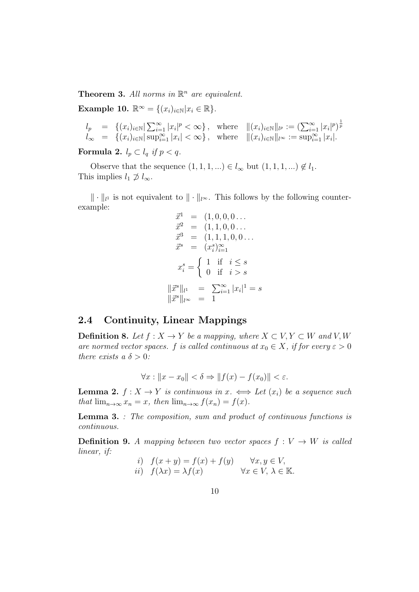**Theorem 3.** All norms in  $\mathbb{R}^n$  are equivalent.

**Example 10.**  $\mathbb{R}^{\infty} = \{(x_i)_{i \in \mathbb{N}} | x_i \in \mathbb{R} \}.$ 

$$
l_p = \{(x_i)_{i \in \mathbb{N}} | \sum_{i=1}^{\infty} |x_i|^p < \infty\}, \text{ where } ||(x_i)_{i \in \mathbb{N}}||_{l^p} := \left(\sum_{i=1}^{\infty} |x_i|^p\right)^{\frac{1}{p}} l_{\infty} = \{(x_i)_{i \in \mathbb{N}} | \sup_{i=1}^{\infty} |x_i| < \infty\}, \text{ where } ||(x_i)_{i \in \mathbb{N}}||_{l^{\infty}} := \sup_{i=1}^{\infty} |x_i|.
$$

**Formula 2.**  $l_p \subset l_q$  *if*  $p < q$ .

Observe that the sequence  $(1, 1, 1, ...) \in l_\infty$  but  $(1, 1, 1, ...) \notin l_1$ . This implies  $l_1 \not\supset l_\infty$ .

 $\|\cdot\|_{l^1}$  is not equivalent to  $\|\cdot\|_{l^{\infty}}$ . This follows by the following counterexample: *⃗x*<sup>1</sup> = (1*,* 0*,* 0*,* 0 *. . .*

$$
\begin{aligned}\n\vec{x}^1 &= (1, 0, 0, 0 \dots) \\
\vec{x}^2 &= (1, 1, 0, 0 \dots) \\
\vec{x}^3 &= (1, 1, 1, 0, 0 \dots) \\
\vec{x}^s &= (x_i^s)_{i=1}^\infty \\
x_i^s &= \begin{cases}\n1 & \text{if } i \leq s \\
0 & \text{if } i > s\n\end{cases} \\
\|\vec{x}^s\|_{l^\infty} &= 1\n\end{aligned}
$$

### **2.4 Continuity, Linear Mappings**

**Definition 8.** Let  $f: X \to Y$  be a mapping, where  $X \subset V, Y \subset W$  and  $V, W$ *are normed vector spaces. f is called continuous at*  $x_0 \in X$ *, if for every*  $\varepsilon > 0$ *there exists a*  $\delta > 0$ *:* 

$$
\forall x: \|x - x_0\| < \delta \Rightarrow \|f(x) - f(x_0)\| < \varepsilon.
$$

**Lemma 2.**  $f: X \to Y$  *is continuous in*  $x \leftrightarrow \text{Let } (x_i)$  *be a sequence such that*  $\lim_{n\to\infty} x_n = x$ *, then*  $\lim_{n\to\infty} f(x_n) = f(x)$ *.* 

**Lemma 3.** *: The composition, sum and product of continuous functions is continuous.*

**Definition 9.** *A mapping between two vector spaces*  $f: V \rightarrow W$  *is called linear, if:*

*i)* 
$$
f(x + y) = f(x) + f(y)
$$
  $\forall x, y \in V$ ,  
*ii)*  $f(\lambda x) = \lambda f(x)$   $\forall x \in V, \lambda \in \mathbb{K}$ .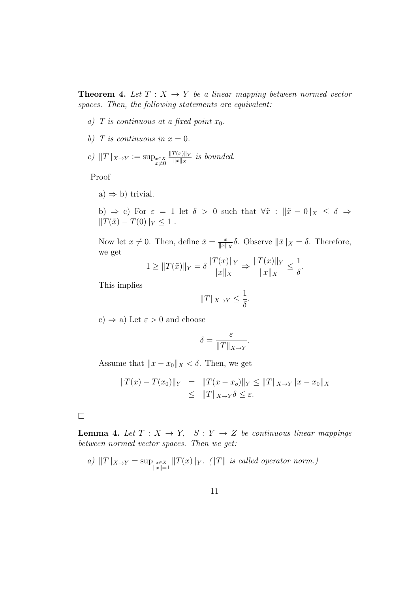**Theorem 4.** Let  $T: X \rightarrow Y$  be a linear mapping between normed vector *spaces. Then, the following statements are equivalent:*

- *a) T* is continuous at a fixed point  $x_0$ .
- *b*) *T* is continuous in  $x = 0$ .

c) 
$$
||T||_{X\to Y} := \sup_{\substack{x \in X \\ x \neq 0}} \frac{||T(x)||_Y}{||x||_X}
$$
 is bounded.

Proof

a)  $\Rightarrow$  b) trivial.

b)  $\Rightarrow$  c) For  $\varepsilon = 1$  let  $\delta > 0$  such that  $\forall \tilde{x} : ||\tilde{x} - 0||_X \leq \delta \Rightarrow$  $||T(\tilde{x}) - T(0)||_Y \leq 1$ *.* 

Now let  $x \neq 0$ . Then, define  $\tilde{x} = \frac{x}{\|x\|}$  $\frac{x}{\|x\|_X}$ δ. Observe  $\|\tilde{x}\|_X = \delta$ . Therefore, we get

$$
1 \geq ||T(\tilde{x})||_Y = \delta \frac{||T(x)||_Y}{||x||_X} \Rightarrow \frac{||T(x)||_Y}{||x||_X} \leq \frac{1}{\delta}.
$$

This implies

$$
||T||_{X\to Y}\leq \frac{1}{\delta}.
$$

c)  $\Rightarrow$  a) Let  $\varepsilon > 0$  and choose

$$
\delta = \frac{\varepsilon}{\|T\|_{X \to Y}}
$$

*.*

Assume that  $||x - x_0||_X < \delta$ . Then, we get

$$
||T(x) - T(x_0)||_Y = ||T(x - x_0)||_Y \le ||T||_{X \to Y} ||x - x_0||_X
$$
  

$$
\le ||T||_{X \to Y} \delta \le \varepsilon.
$$

□

**Lemma 4.** Let  $T: X \to Y$ ,  $S: Y \to Z$  be continuous linear mappings *between normed vector spaces. Then we get:*

a) 
$$
||T||_{X\to Y} = \sup_{\substack{x\in X \\ ||x||=1}} ||T(x)||_Y
$$
.  $(||T||$  is called operator norm.)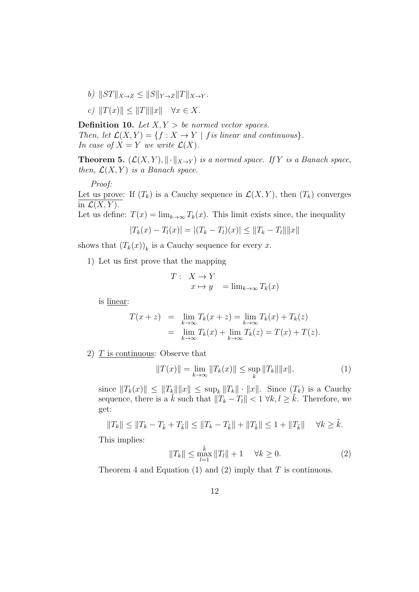- $b)$   $||ST||_{X\to Z} \leq ||S||_{Y\to Z} ||T||_{X\to Y}$ .
- *c)*  $||T(x)|| \le ||T|| ||x||$   $∀x ∈ X$ .

**Definition 10.** *Let*  $X, Y > be$  *normed vector spaces. Then, let*  $\mathcal{L}(X, Y) = \{f : X \to Y \mid f \text{ is linear and continuous}\}.$ *In case of*  $X = Y$  *we write*  $\mathcal{L}(X)$ *.* 

**Theorem 5.**  $(L(X, Y), \|\cdot\|_{X\to Y})$  *is a normed space.* If *Y is a Banach space, then,*  $\mathcal{L}(X, Y)$  *is a Banach space.* 

*Proof:*

Let us prove: If  $(T_k)$  is a Cauchy sequence in  $\mathcal{L}(X, Y)$ , then  $(T_k)$  converges in  $\mathcal{L}(X, Y)$ .

Let us define:  $T(x) = \lim_{k \to \infty} T_k(x)$ . This limit exists since, the inequality

$$
|T_k(x) - T_l(x)| = |(T_k - T_l)(x)| \le ||T_k - T_l|| ||x||
$$

shows that  $(T_k(x))_k$  is a Cauchy sequence for every *x*.

1) Let us first prove that the mapping

$$
T: X \to Y
$$
  

$$
x \mapsto y = \lim_{k \to \infty} T_k(x)
$$

is linear:

$$
T(x+z) = \lim_{k \to \infty} T_k(x+z) = \lim_{k \to \infty} T_k(x) + T_k(z)
$$
  
= 
$$
\lim_{k \to \infty} T_k(x) + \lim_{k \to \infty} T_k(z) = T(x) + T(z).
$$

2) *T* is continuous: Observe that

$$
||T(x)|| = \lim_{k \to \infty} ||T_k(x)|| \le \sup_k ||T_k|| ||x||,
$$
 (1)

since  $||T_k(x)|| \le ||T_k|| ||x|| \le \sup_k ||T_k|| \cdot ||x||$ . Since  $(T_k)$  is a Cauchy sequence, there is a  $\tilde{k}$  such that  $||T_k - T_l|| < 1 \ \forall k, l \geq \tilde{k}$ . Therefore, we get:

$$
||T_k|| \le ||T_k - T_{\tilde{k}} + T_{\tilde{k}}|| \le ||T_k - T_{\tilde{k}}|| + ||T_{\tilde{k}}|| \le 1 + ||T_{\tilde{k}}|| \quad \forall k \ge \tilde{k}.
$$

This implies:

$$
||T_k|| \le \max_{l=1}^{\tilde{k}} ||T_l|| + 1 \quad \forall k \ge 0.
$$
 (2)

Theorem 4 and Equation (1) and (2) imply that *T* is continuous.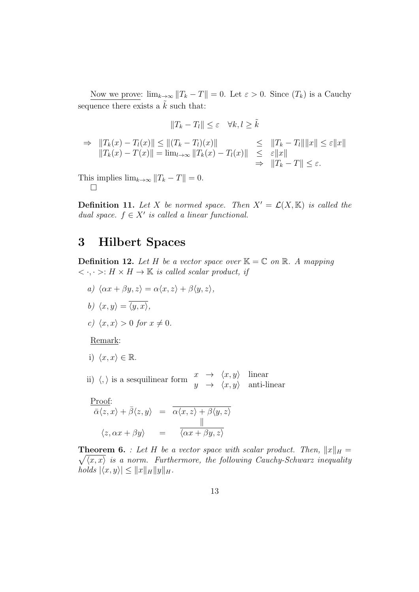Now we prove:  $\lim_{k\to\infty} ||T_k - T|| = 0$ . Let  $\varepsilon > 0$ . Since  $(T_k)$  is a Cauchy sequence there exists a  $\tilde{k}$  such that:

$$
||T_k - T_l|| \le \varepsilon \quad \forall k,l \ge \tilde{k}
$$

$$
\Rightarrow \|T_k(x) - T_l(x)\| \le \| (T_k - T_l)(x) \| \le \|T_k - T_l\| \|x\| \le \varepsilon \|x\| \|T_k(x) - T(x)\| = \lim_{l \to \infty} \|T_k(x) - T_l(x)\| \le \varepsilon \|x\| \Rightarrow \|T_k - T\| \le \varepsilon.
$$

This implies  $\lim_{k\to\infty} ||T_k - T|| = 0.$ □

**Definition 11.** Let *X* be normed space. Then  $X' = \mathcal{L}(X, \mathbb{K})$  is called the *dual space.*  $f \in X'$  *is called a linear functional.* 

# **3 Hilbert Spaces**

**Definition 12.** Let *H* be a vector space over  $K = \mathbb{C}$  on  $\mathbb{R}$ . A mapping  $\langle \cdot, \cdot \rangle : H \times H \to \mathbb{K}$  *is called scalar product, if* 

- $a)$   $\langle \alpha x + \beta y, z \rangle = \alpha \langle x, z \rangle + \beta \langle y, z \rangle$
- *b*)  $\langle x, y \rangle = \overline{\langle y, x \rangle}$ ,

c) 
$$
\langle x, x \rangle > 0
$$
 for  $x \neq 0$ .

Remark:

i) 
$$
\langle x, x \rangle \in \mathbb{R}
$$
.

ii)  $\langle , \rangle$  is a sesquilinear form  $\begin{array}{ccc} x & \to & \langle x, y \rangle & \text{linear} \\ y & \to & \langle x, y \rangle & \text{anti-linear} \end{array}$ 

$$
\frac{\text{Proof:}}{\bar{\alpha}\langle z, x \rangle + \bar{\beta}\langle z, y \rangle} = \frac{\bar{\alpha}\langle x, z \rangle + \beta\langle y, z \rangle}{\|\langle z, \alpha x + \beta y \rangle\|} = \frac{\|\bar{\alpha}\langle x, x \rangle + \beta\langle y, z \rangle}{\|\langle \alpha x + \beta y, z \rangle\|}
$$

**Theorem 6.** *: Let H be a vector space with scalar product. Then,*  $||x||_H =$  $\sqrt{\langle x, x \rangle}$  *is a norm. Furthermore, the following Cauchy-Schwarz inequality*  $\langle h \circ \mathcal{A} \times \mathcal{A} \times \mathcal{A} \times \mathcal{A} \times \mathcal{A} \times \mathcal{A} \times \mathcal{A} \times \mathcal{A} \times \mathcal{A} \times \mathcal{A} \times \mathcal{A} \times \mathcal{A} \times \mathcal{A} \times \mathcal{A} \times \mathcal{A} \times \mathcal{A} \times \mathcal{A} \times \mathcal{A} \times \mathcal{A} \times \mathcal{A} \times \mathcal{A} \times \mathcal{A} \times \mathcal{A} \times \mathcal{A} \times \mathcal{A} \times \mathcal{A} \times \mathcal{A} \$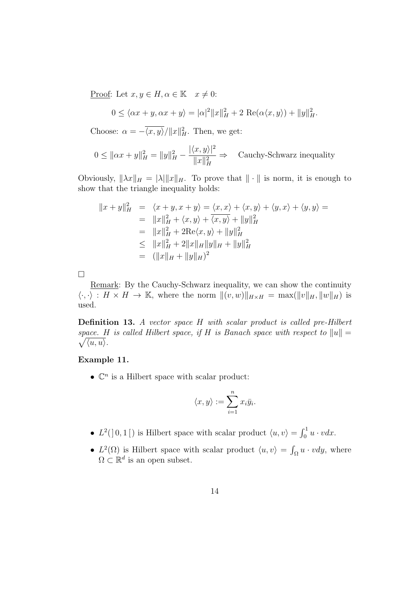Proof: Let  $x, y \in H, \alpha \in \mathbb{K}$   $x \neq 0$ :

$$
0 \le \langle \alpha x + y, \alpha x + y \rangle = |\alpha|^2 \|x\|_H^2 + 2 \operatorname{Re}(\alpha \langle x, y \rangle) + \|y\|_H^2.
$$

Choose:  $\alpha = -\overline{\langle x, y \rangle}/\|x\|_H^2$ . Then, we get:

$$
0 \le ||\alpha x + y||_H^2 = ||y||_H^2 - \frac{|\langle x, y \rangle|^2}{||x||_H^2} \Rightarrow \text{ Cauchy-Schwarz inequality}
$$

Obviously,  $\|\lambda x\|_H = |\lambda| \|x\|_H$ . To prove that  $\|\cdot\|$  is norm, it is enough to show that the triangle inequality holds:

$$
||x + y||_H^2 = \langle x + y, x + y \rangle = \langle x, x \rangle + \langle x, y \rangle + \langle y, x \rangle + \langle y, y \rangle =
$$
  
\n
$$
= ||x||_H^2 + \langle x, y \rangle + \overline{\langle x, y \rangle} + ||y||_H^2
$$
  
\n
$$
= ||x||_H^2 + 2\text{Re}\langle x, y \rangle + ||y||_H^2
$$
  
\n
$$
\le ||x||_H^2 + 2||x||_H ||y||_H + ||y||_H^2
$$
  
\n
$$
= (||x||_H + ||y||_H)^2
$$

□

Remark: By the Cauchy-Schwarz inequality, we can show the continuity  $\langle \cdot, \cdot \rangle : H \times H \to \mathbb{K}$ , where the norm  $\|(v, w)\|_{H \times H} = \max(\|v\|_H, \|w\|_H)$  is used.

**Definition 13.** *A vector space H with scalar product is called pre-Hilbert*  $\sqrt{\langle u, u \rangle}$ . *space. H is called Hilbert space, if H is Banach space with respect to*  $||u|| =$ 

#### **Example 11.**

 $\bullet \ \mathbb{C}^n$  is a Hilbert space with scalar product:

$$
\langle x, y \rangle := \sum_{i=1}^n x_i \bar{y}_i.
$$

- $L^2(]0,1[)$  is Hilbert space with scalar product  $\langle u, v \rangle = \int_0^1 u \cdot v dx$ .
- $L^2(\Omega)$  is Hilbert space with scalar product  $\langle u, v \rangle = \int_{\Omega} u \cdot v dy$ , where  $\Omega \subset \mathbb{R}^d$  is an open subset.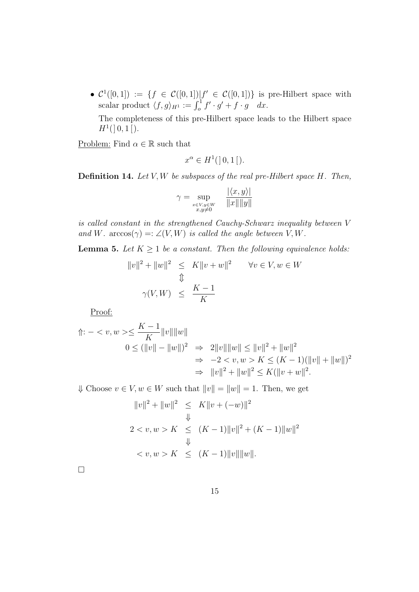•  $\mathcal{C}^1([0,1]) := \{f \in \mathcal{C}([0,1]) | f' \in \mathcal{C}([0,1])\}$  is pre-Hilbert space with scalar product  $\langle f, g \rangle_{H^1} := \int_0^1 f' \cdot g' + f \cdot g \quad dx.$ 

The completeness of this pre-Hilbert space leads to the Hilbert space  $H^1($  | 0, 1 |  $).$ 

Problem: Find  $\alpha \in \mathbb{R}$  such that

$$
x^{\alpha} \in H^1( ]0,1[ ).
$$

**Definition 14.** *Let V, W be subspaces of the real pre-Hilbert space H. Then,*

$$
\gamma = \sup_{\substack{x \in V, y \in W \\ x, y \neq 0}} \quad \frac{|\langle x, y \rangle|}{\|x\| \|y\|}
$$

*is called constant in the strengthened Cauchy-Schwarz inequality between V and W.*  $\arccos(\gamma) =: \angle(V, W)$  *is called the angle between V, W.* 

**Lemma 5.** *Let*  $K \geq 1$  *be a constant. Then the following equivalence holds:* 

$$
||v||2 + ||w||2 \le K||v + w||2 \quad \forall v \in V, w \in W
$$
  

$$
\qquad \qquad \downarrow \qquad
$$
  

$$
\gamma(V, W) \le \frac{K - 1}{K}
$$

Proof:

$$
\begin{aligned} \Uparrow: & - < v, w > \leq \frac{K-1}{K} \|v\| \|w\| \\ & 0 \leq (\|v\| - \|w\|)^2 & \Rightarrow & 2\|v\| \|w\| \leq \|v\|^2 + \|w\|^2 \\ & \Rightarrow & -2 < v, w > K \leq (K-1)(\|v\| + \|w\|)^2 \\ & \Rightarrow & \|v\|^2 + \|w\|^2 \leq K(\|v+w\|^2). \end{aligned}
$$

*Ψ* Choose  $v \in V$ ,  $w \in W$  such that  $||v|| = ||w|| = 1$ . Then, we get

$$
||v||2 + ||w||2 \le K||v + (-w)||2
$$
  

$$
\Downarrow
$$
  

$$
2 < v, w > K \le (K - 1)||v||2 + (K - 1)||w||2
$$
  

$$
\Downarrow
$$
  

$$
< v, w > K \le (K - 1)||v|| ||w||.
$$

□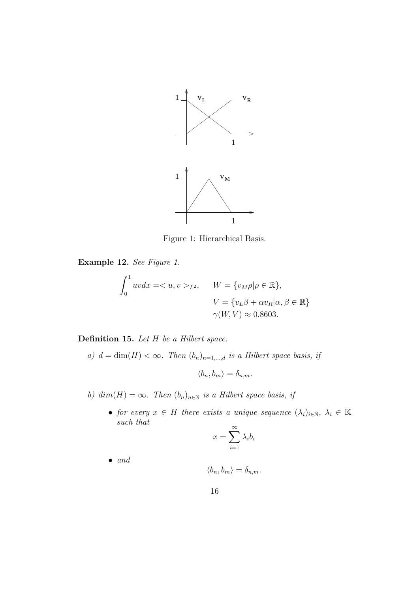

Figure 1: Hierarchical Basis.

**Example 12.** *See Figure 1.*

$$
\int_0^1 uv dx = \langle u, v \rangle_{L^2}, \quad W = \{v_M \rho | \rho \in \mathbb{R}\},
$$

$$
V = \{v_L \beta + \alpha v_R | \alpha, \beta \in \mathbb{R}\}
$$

$$
\gamma(W, V) \approx 0.8603.
$$

**Definition 15.** *Let H be a Hilbert space.*

*a)*  $d = \dim(H) < \infty$ *. Then*  $(b_n)_{n=1,\dots,d}$  *is a Hilbert space basis, if* 

$$
\langle b_n, b_m \rangle = \delta_{n,m}.
$$

*b)*  $dim(H) = \infty$ . Then  $(b_n)_{n \in \mathbb{N}}$  *is a Hilbert space basis, if* 

• *for every*  $x \in H$  *there exists a unique sequence*  $(\lambda_i)_{i \in \mathbb{N}}, \lambda_i \in \mathbb{K}$ *such that*

$$
x = \sum_{i=1}^{\infty} \lambda_i b_i
$$

*• and*

$$
\langle b_n, b_m \rangle = \delta_{n,m}.
$$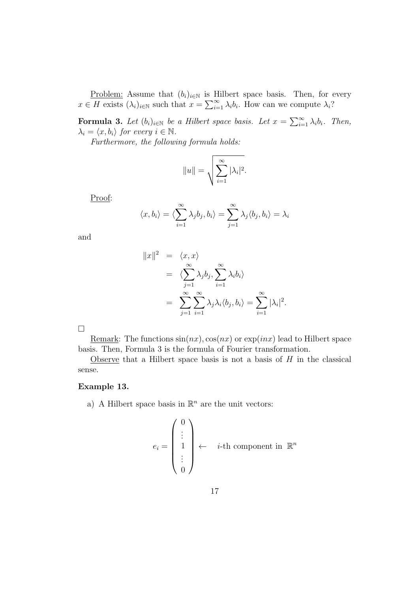<u>Problem:</u> Assume that  $(b_i)_{i \in \mathbb{N}}$  is Hilbert space basis. Then, for every  $x \in H$  exists  $(\lambda_i)_{i \in \mathbb{N}}$  such that  $x = \sum_{i=1}^{\infty} \lambda_i b_i$ . How can we compute  $\lambda_i$ ?

**Formula 3.** Let  $(b_i)_{i \in \mathbb{N}}$  be a Hilbert space basis. Let  $x = \sum_{i=1}^{\infty} \lambda_i b_i$ . Then,  $\lambda_i = \langle x, b_i \rangle$  *for every*  $i \in \mathbb{N}$ .

*Furthermore, the following formula holds:*

$$
||u|| = \sqrt{\sum_{i=1}^{\infty} |\lambda_i|^2}.
$$

Proof:

$$
\langle x, b_i \rangle = \langle \sum_{i=1}^{\infty} \lambda_j b_j, b_i \rangle = \sum_{j=1}^{\infty} \lambda_j \langle b_j, b_i \rangle = \lambda_i
$$

and

$$
||x||2 = \langle x, x \rangle
$$
  
=  $\langle \sum_{j=1}^{\infty} \lambda_j b_j, \sum_{i=1}^{\infty} \lambda_i b_i \rangle$   
=  $\sum_{j=1}^{\infty} \sum_{i=1}^{\infty} \lambda_j \lambda_i \langle b_j, b_i \rangle = \sum_{i=1}^{\infty} |\lambda_i|^2.$ 

Remark: The functions  $sin(nx)$ ,  $cos(nx)$  or  $exp(inx)$  lead to Hilbert space basis. Then, Formula 3 is the formula of Fourier transformation.

Observe that a Hilbert space basis is not a basis of *H* in the classical sense.

#### **Example 13.**

a) A Hilbert space basis in  $\mathbb{R}^n$  are the unit vectors:

$$
e_i = \begin{pmatrix} 0 \\ \vdots \\ 1 \\ \vdots \\ 0 \end{pmatrix} \leftarrow i\text{-th component in } \mathbb{R}^n
$$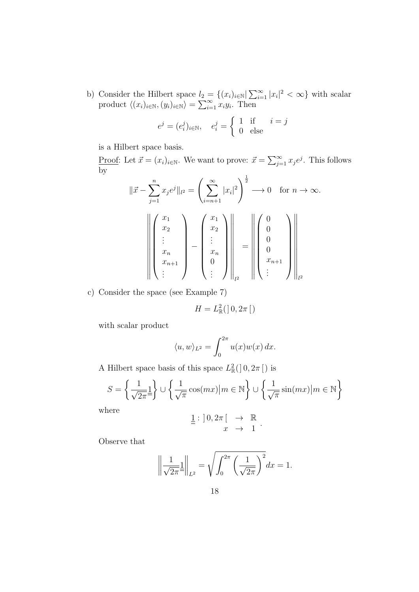b) Consider the Hilbert space  $l_2 = \{(x_i)_{i\in\mathbb{N}} | \sum_{i=1}^{\infty} |x_i|^2 < \infty \}$  with scalar product  $\langle (x_i)_{i \in \mathbb{N}}, (y_i)_{i \in \mathbb{N}} \rangle = \sum_{i=1}^{\infty} x_i y_i$ . Then

$$
e^j = (e_i^j)_{i \in \mathbb{N}}, \quad e_i^j = \begin{cases} 1 & \text{if } i = j \\ 0 & \text{else} \end{cases}
$$

is a Hilbert space basis.

<u>Proof</u>: Let  $\vec{x} = (x_i)_{i \in \mathbb{N}}$ . We want to prove:  $\vec{x} = \sum_{j=1}^{\infty} x_j e^j$ . This follows by

$$
\|\vec{x} - \sum_{j=1}^{n} x_j e^j\|_{l^2} = \left(\sum_{i=n+1}^{\infty} |x_i|^2\right)^{\frac{1}{2}} \longrightarrow 0 \quad \text{for } n \to \infty.
$$
  

$$
\left\| \begin{pmatrix} x_1 \\ x_2 \\ \vdots \\ x_n \\ x_{n+1} \\ \vdots \end{pmatrix} - \begin{pmatrix} x_1 \\ x_2 \\ \vdots \\ x_n \\ 0 \\ \vdots \end{pmatrix} \right\|_{l^2} = \left\| \begin{pmatrix} 0 \\ 0 \\ 0 \\ \vdots \\ 0 \\ x_{n+1} \\ \vdots \end{pmatrix} \right\|_{l^2}
$$

c) Consider the space (see Example 7)

$$
H=L^2_{\mathbb{R}}(]0,2\pi[)
$$

with scalar product

$$
\langle u, w \rangle_{L^2} = \int_0^{2\pi} u(x)w(x) \, dx.
$$

A Hilbert space basis of this space  $L^2_{\mathbb{R}}$  $\frac{2}{\mathbb{R}}($  | 0, 2 $\pi$  [ ) is

$$
S = \left\{ \frac{1}{\sqrt{2\pi}} \frac{1}{\pi} \right\} \cup \left\{ \frac{1}{\sqrt{\pi}} \cos(mx) \middle| m \in \mathbb{N} \right\} \cup \left\{ \frac{1}{\sqrt{\pi}} \sin(mx) \middle| m \in \mathbb{N} \right\}
$$

where

$$
\underline{\underline{1}} : ]0, 2\pi \left[ \begin{array}{ccc} \to & \mathbb{R} \\ x & \to & 1 \end{array} \right].
$$

Observe that

$$
\left\| \frac{1}{\sqrt{2\pi}} \underline{1} \right\|_{L^2} = \sqrt{\int_0^{2\pi} \left( \frac{1}{\sqrt{2\pi}} \right)^2} dx = 1.
$$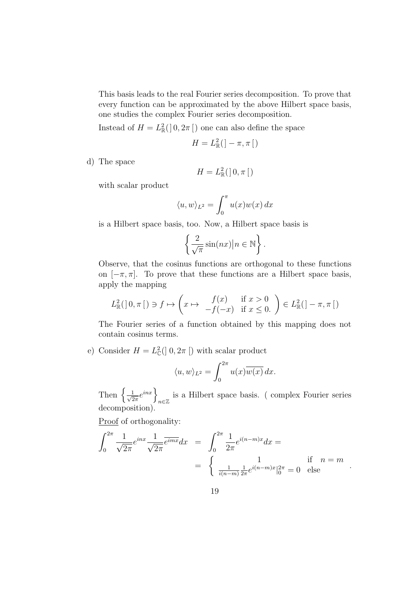This basis leads to the real Fourier series decomposition. To prove that every function can be approximated by the above Hilbert space basis, one studies the complex Fourier series decomposition.

Instead of  $H = L^2_{\mathbb{R}}$  $\frac{2}{\mathbb{R}}(|0, 2\pi|)$  one can also define the space

$$
H=L_{\mathbb{R}}^{2}(\,]-\pi,\pi\,[\,)
$$

d) The space

$$
H=L^2_{\mathbb{R}}(]0,\pi[)
$$

with scalar product

$$
\langle u, w \rangle_{L^2} = \int_0^\pi u(x) w(x) \, dx
$$

is a Hilbert space basis, too. Now, a Hilbert space basis is

$$
\left\{\frac{2}{\sqrt{\pi}}\sin(nx)\middle| n \in \mathbb{N}\right\}.
$$

Observe, that the cosinus functions are orthogonal to these functions on  $[-\pi, \pi]$ . To prove that these functions are a Hilbert space basis, apply the mapping

$$
L^2_{\mathbb{R}}([0,\pi]) \ni f \mapsto \begin{pmatrix} x \mapsto f(x) & \text{if } x > 0 \\ -f(-x) & \text{if } x \le 0 \end{pmatrix} \in L^2_{\mathbb{R}}([-\pi,\pi])
$$

The Fourier series of a function obtained by this mapping does not contain cosinus terms.

e) Consider  $H = L^2$  $\mathcal{L}^2_{\mathbb{C}}(]$  0,  $2\pi$  [) with scalar product

$$
\langle u, w \rangle_{L^2} = \int_0^{2\pi} u(x) \overline{w(x)} \, dx.
$$

Then  $\left\{\frac{1}{\sqrt{2}}\right\}$  $\frac{1}{2\pi}e^{inx}$ *n∈*Z is a Hilbert space basis. ( complex Fourier series decomposition).

Proof of orthogonality:

$$
\int_0^{2\pi} \frac{1}{\sqrt{2\pi}} e^{inx} \frac{1}{\sqrt{2\pi}} \overline{e^{imx}} dx = \int_0^{2\pi} \frac{1}{2\pi} e^{i(n-m)x} dx =
$$
\n
$$
= \begin{cases} \frac{1}{i(n-m)} \frac{1}{2\pi} e^{i(n-m)x} \Big|_0^{2\pi} = 0 & \text{else} \end{cases} \quad \text{if} \quad n = m
$$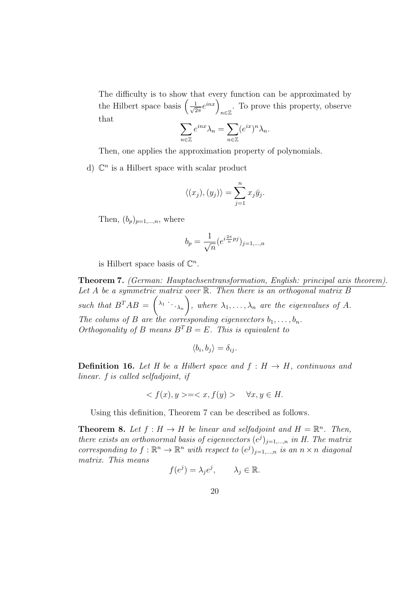The difficulty is to show that every function can be approximated by the Hilbert space basis  $\left(\frac{1}{\sqrt{6}}\right)$  $\frac{1}{2\pi}e^{inx}$ *n∈*Z . To prove this property, observe that

$$
\sum_{n\in\mathbb{Z}}e^{inx}\lambda_n=\sum_{n\in\mathbb{Z}}(e^{ix})^n\lambda_n.
$$

Then, one applies the approximation property of polynomials.

d)  $\mathbb{C}^n$  is a Hilbert space with scalar product

$$
\langle (x_j), (y_j) \rangle = \sum_{j=1}^n x_j \bar{y}_j.
$$

Then,  $(b_n)_{n=1,\ldots,n}$ , where

$$
b_p = \frac{1}{\sqrt{n}} (e^{i\frac{2\pi}{n}pj})_{j=1,\dots,n}
$$

is Hilbert space basis of  $\mathbb{C}^n$ .

**Theorem 7.** *(German: Hauptachsentransformation, English: principal axis theorem). Let A be a symmetric matrix over* R*. Then there is an orthogonal matrix B* such that  $B^TAB = \begin{pmatrix} \lambda_1 & \cdots & \lambda_n \\ 0 & \cdots & \lambda_n \end{pmatrix}$ , where  $\lambda_1, \ldots, \lambda_n$  are the eigenvalues of A. *The colums of B are the corresponding eigenvectors*  $b_1, \ldots, b_n$ . *Orthogonality of B means*  $B^T B = E$ *. This is equivalent to* 

$$
\langle b_i, b_j \rangle = \delta_{ij}.
$$

**Definition 16.** Let H be a Hilbert space and  $f : H \rightarrow H$ , continuous and *linear. f is called selfadjoint, if*

$$
\langle f(x), y \rangle = \langle x, f(y) \rangle \quad \forall x, y \in H.
$$

Using this definition, Theorem 7 can be described as follows.

**Theorem 8.** Let  $f : H \to H$  be linear and selfadjoint and  $H = \mathbb{R}^n$ . Then, *there exists an orthonormal basis of eigenvectors*  $(e^j)_{j=1,\dots,n}$  *in H. The matrix corresponding to*  $f: \mathbb{R}^n \to \mathbb{R}^n$  *with respect to*  $(e^j)_{j=1,\dots,n}$  *is an*  $n \times n$  *diagonal matrix. This means*

$$
f(e^j) = \lambda_j e^j, \qquad \lambda_j \in \mathbb{R}.
$$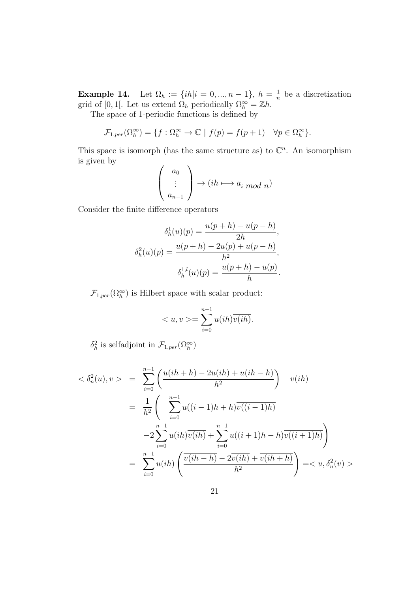**Example 14.** Let  $\Omega_h := \{ih | i = 0, ..., n-1\}, h = \frac{1}{n}$  $\frac{1}{n}$  be a discretization grid of [0, 1[. Let us extend  $\Omega_h$  periodically  $\Omega_h^{\infty} = \mathbb{Z}h$ .

The space of 1-periodic functions is defined by

$$
\mathcal{F}_{1,per}(\Omega_h^{\infty}) = \{ f : \Omega_h^{\infty} \to \mathbb{C} \mid f(p) = f(p+1) \quad \forall p \in \Omega_h^{\infty} \}.
$$

This space is isomorph (has the same structure as) to  $\mathbb{C}^n$ . An isomorphism is given by  $\sim$ 

$$
\begin{pmatrix} a_0 \\ \vdots \\ a_{n-1} \end{pmatrix} \to (ih \mapsto a_i \bmod n)
$$

Consider the finite difference operators

$$
\delta_h^1(u)(p) = \frac{u(p+h) - u(p-h)}{2h},
$$

$$
\delta_h^2(u)(p) = \frac{u(p+h) - 2u(p) + u(p-h)}{h^2},
$$

$$
\delta_h^{1,l}(u)(p) = \frac{u(p+h) - u(p)}{h}.
$$

 $\mathcal{F}_{1,per}(\Omega_h^{\infty})$  is Hilbert space with scalar product:

$$
\langle u, v \rangle = \sum_{i=0}^{n-1} u(ih) \overline{v(ih)}.
$$

 $\delta_h^2$  is selfadjoint in  $\mathcal{F}_{1,per}(\Omega_h^{\infty})$ 

$$
\langle \delta_n^2(u), v \rangle = \sum_{i=0}^{n-1} \left( \frac{u(ih+h) - 2u(ih) + u(ih-h)}{h^2} \right) \overline{v(ih)}
$$
  
= 
$$
\frac{1}{h^2} \left( \sum_{i=0}^{n-1} u((i-1)h+h)\overline{v((i-1)h)}
$$
  

$$
-2 \sum_{i=0}^{n-1} u(ih)\overline{v(ih)} + \sum_{i=0}^{n-1} u((i+1)h-h)\overline{v((i+1)h)}
$$
  
= 
$$
\sum_{i=0}^{n-1} u(ih) \left( \overline{v(ih-h) - 2v(ih) + v(ih+h)} \right) = \langle u, \delta_n^2(v) \rangle
$$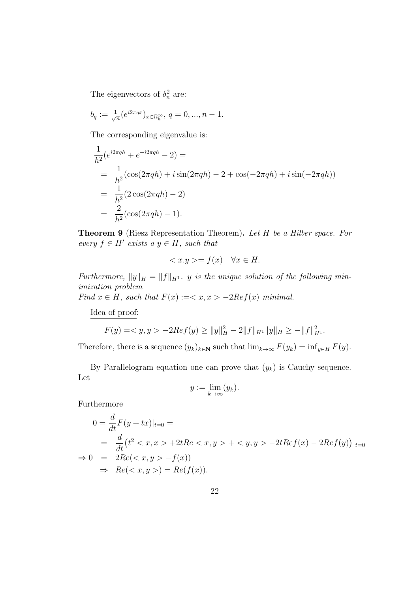The eigenvectors of  $\delta_n^2$  are:

$$
b_q := \frac{1}{\sqrt{n}} (e^{i2\pi qx})_{x \in \Omega_h^{\infty}}, q = 0, ..., n-1.
$$

The corresponding eigenvalue is:

$$
\frac{1}{h^2} (e^{i2\pi qh} + e^{-i2\pi qh} - 2) =
$$
\n
$$
= \frac{1}{h^2} (\cos(2\pi qh) + i \sin(2\pi qh) - 2 + \cos(-2\pi qh) + i \sin(-2\pi qh))
$$
\n
$$
= \frac{1}{h^2} (2 \cos(2\pi qh) - 2)
$$
\n
$$
= \frac{2}{h^2} (\cos(2\pi qh) - 1).
$$

**Theorem 9** (Riesz Representation Theorem)**.** *Let H be a Hilber space. For*  $every f \in H'$  *exists a*  $y \in H$ *, such that* 

$$
\langle x. y \rangle = f(x) \quad \forall x \in H.
$$

*Furthermore,*  $||y||_H = ||f||_{H^1}$ . *y is the unique solution of the following minimization problem*

*Find*  $x \in H$ *, such that*  $F(x) := \langle x, x \rangle - 2Ref(x)$  *minimal.* 

Idea of proof:

$$
F(y) = \langle y, y \rangle - 2\operatorname{Re} f(y) \ge ||y||_H^2 - 2||f||_{H^1} ||y||_H \ge -||f||_{H^1}^2.
$$

Therefore, there is a sequence  $(y_k)_{k \in \mathbb{N}}$  such that  $\lim_{k \to \infty} F(y_k) = \inf_{y \in H} F(y)$ .

By Parallelogram equation one can prove that  $(y_k)$  is Cauchy sequence. Let

$$
y:=\lim_{k\to\infty}(y_k).
$$

Furthermore

$$
0 = \frac{d}{dt} F(y + tx)|_{t=0} =
$$
  
= 
$$
\frac{d}{dt} (t^2 < x, x > +2tRe < x, y > + < y, y > -2tRef(x) - 2Ref(y))|_{t=0}
$$
  

$$
\Rightarrow 0 = 2Re(< x, y > -f(x))
$$
  

$$
\Rightarrow Re(< x, y >) = Re(f(x)).
$$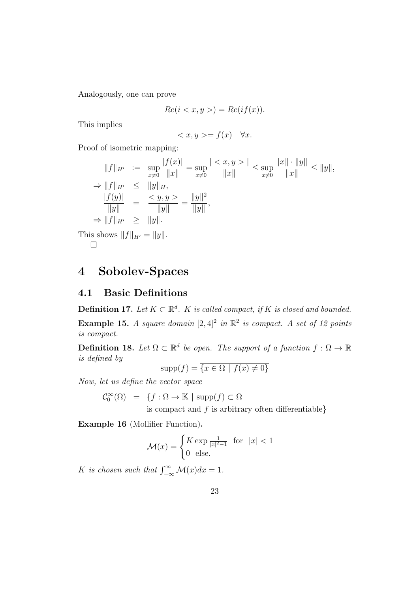Analogously, one can prove

$$
Re(i < x, y >) = Re(if(x)).
$$

This implies

$$
=f(x) \quad \forall x.
$$

Proof of isometric mapping:

$$
||f||_{H'} := \sup_{x \neq 0} \frac{|f(x)|}{||x||} = \sup_{x \neq 0} \frac{|\langle x, y \rangle|}{||x||} \le \sup_{x \neq 0} \frac{||x|| \cdot ||y||}{||x||} \le ||y||,
$$
  
\n
$$
\Rightarrow ||f||_{H'} \le ||y||_{H},
$$
  
\n
$$
\frac{|f(y)|}{||y||} = \frac{\langle y, y \rangle}{||y||} = ||y||^2,
$$
  
\n
$$
\Rightarrow ||f||_{H'} \ge ||y||.
$$
  
\nis shows  $||f||_{H'} = ||y||.$ 

This shows  $||f||_{H'} = ||y||$ . □

# **4 Sobolev-Spaces**

### **4.1 Basic Definitions**

**Definition 17.** *Let*  $K \subset \mathbb{R}^d$ . *K is called compact, if K is closed and bounded.* 

**Example 15.** *A square domain*  $[2, 4]^2$  *in*  $\mathbb{R}^2$  *is compact. A set of 12 points is compact.*

**Definition 18.** Let  $\Omega \subset \mathbb{R}^d$  be open. The support of a function  $f : \Omega \to \mathbb{R}$ *is defined by*

$$
supp(f) = \overline{\{x \in \Omega \mid f(x) \neq 0\}}
$$

*Now, let us define the vector space*

$$
\mathcal{C}_0^{\infty}(\Omega) = \{ f : \Omega \to \mathbb{K} \mid \text{supp}(f) \subset \Omega
$$
 is compact and f is arbitrary.

is compact and *f* is arbitrary often differentiable*}*

**Example 16** (Mollifier Function)**.**

$$
\mathcal{M}(x) = \begin{cases} K \exp\frac{1}{|x|^2 - 1} & \text{for} \quad |x| < 1 \\ 0 & \text{else.} \end{cases}
$$

*K is chosen such that*  $\int_{-\infty}^{\infty} \mathcal{M}(x) dx = 1$ *.*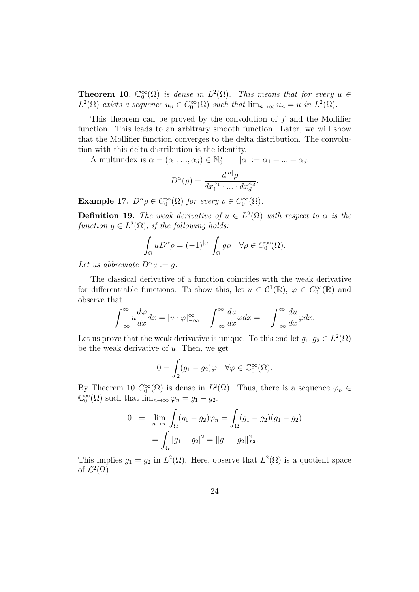**Theorem 10.**  $\mathbb{C}_0^{\infty}(\Omega)$  *is dense in*  $L^2(\Omega)$ *. This means that for every*  $u \in$  $L^2(\Omega)$  *exists a sequence*  $u_n \in C_0^{\infty}(\Omega)$  *such that*  $\lim_{n\to\infty} u_n = u$  *in*  $L^2(\Omega)$ *.* 

This theorem can be proved by the convolution of *f* and the Mollifier function. This leads to an arbitrary smooth function. Later, we will show that the Mollifier function converges to the delta distribution. The convolution with this delta distribution is the identity.

A multiindex is  $\alpha = (\alpha_1, ..., \alpha_d) \in \mathbb{N}_0^d$  $|\alpha| := \alpha_1 + ... + \alpha_d.$ 

$$
D^{\alpha}(\rho) = \frac{d^{|\alpha|}\rho}{dx_1^{\alpha_1} \cdot \ldots \cdot dx_d^{\alpha_d}}.
$$

**Example 17.**  $D^{\alpha} \rho \in C_0^{\infty}(\Omega)$  for every  $\rho \in C_0^{\infty}(\Omega)$ .

**Definition 19.** *The weak derivative of*  $u \in L^2(\Omega)$  *with respect to*  $\alpha$  *is the*  $function g \in L^2(\Omega)$ , *if the following holds:* 

$$
\int_{\Omega} u D^{\alpha} \rho = (-1)^{|\alpha|} \int_{\Omega} g \rho \quad \forall \rho \in C_0^{\infty}(\Omega).
$$

*Let us abbreviate*  $D^{\alpha}u := q$ *.* 

The classical derivative of a function coincides with the weak derivative for differentiable functions. To show this, let  $u \in C^1(\mathbb{R})$ ,  $\varphi \in C_0^{\infty}(\mathbb{R})$  and observe that

$$
\int_{-\infty}^{\infty} u \frac{d\varphi}{dx} dx = [u \cdot \varphi]_{-\infty}^{\infty} - \int_{-\infty}^{\infty} \frac{du}{dx} \varphi dx = - \int_{-\infty}^{\infty} \frac{du}{dx} \varphi dx.
$$

Let us prove that the weak derivative is unique. To this end let  $g_1, g_2 \in L^2(\Omega)$ be the weak derivative of *u*. Then, we get

$$
0 = \int_2 (g_1 - g_2)\varphi \quad \forall \varphi \in \mathbb{C}_0^{\infty}(\Omega).
$$

By Theorem 10  $C_0^{\infty}(\Omega)$  is dense in  $L^2(\Omega)$ . Thus, there is a sequence  $\varphi_n \in$  $\mathbb{C}_0^{\infty}(\Omega)$  such that  $\lim_{n\to\infty}\varphi_n=\overline{g_1-g_2}.$ 

$$
0 = \lim_{n \to \infty} \int_{\Omega} (g_1 - g_2)\varphi_n = \int_{\Omega} (g_1 - g_2)\overline{(g_1 - g_2)}
$$

$$
= \int_{\Omega} |g_1 - g_2|^2 = ||g_1 - g_2||_{L^2}^2.
$$

This implies  $g_1 = g_2$  in  $L^2(\Omega)$ . Here, observe that  $L^2(\Omega)$  is a quotient space of  $\mathcal{L}^2(\Omega)$ .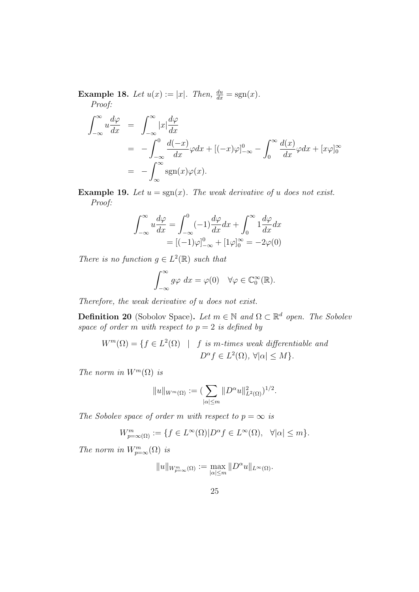**Example 18.** *Let*  $u(x) := |x|$ *. Then,*  $\frac{du}{dx} = \text{sgn}(x)$ *. Proof:*

$$
\int_{-\infty}^{\infty} u \frac{d\varphi}{dx} = \int_{-\infty}^{\infty} |x| \frac{d\varphi}{dx}
$$
  
= 
$$
-\int_{-\infty}^{0} \frac{d(-x)}{dx} \varphi dx + [(-x)\varphi]_{-\infty}^{0} - \int_{0}^{\infty} \frac{d(x)}{dx} \varphi dx + [x\varphi]_{0}^{\infty}
$$
  
= 
$$
-\int_{\infty}^{\infty} \text{sgn}(x)\varphi(x).
$$

**Example 19.** Let  $u = \text{sgn}(x)$ . The weak derivative of *u* does not exist. *Proof:*

$$
\int_{-\infty}^{\infty} u \frac{d\varphi}{dx} = \int_{-\infty}^{0} (-1) \frac{d\varphi}{dx} dx + \int_{0}^{\infty} 1 \frac{d\varphi}{dx} dx
$$

$$
= [(-1)\varphi]_{-\infty}^{0} + [1\varphi]_{0}^{\infty} = -2\varphi(0)
$$

*There is no function*  $g \in L^2(\mathbb{R})$  *such that* 

$$
\int_{-\infty}^{\infty} g\varphi \, dx = \varphi(0) \quad \forall \varphi \in \mathbb{C}_0^{\infty}(\mathbb{R}).
$$

*Therefore, the weak derivative of u does not exist.*

**Definition 20** (Sobolov Space). Let  $m \in \mathbb{N}$  and  $\Omega \subset \mathbb{R}^d$  open. The Sobolev *space of order m with respect to*  $p = 2$  *is defined by* 

$$
W^{m}(\Omega) = \{ f \in L^{2}(\Omega) \mid f \text{ is } m\text{-times weak differentiable and}
$$
  

$$
D^{\alpha} f \in L^{2}(\Omega), \forall |\alpha| \le M \}.
$$

*The norm in*  $W^m(\Omega)$  *is* 

$$
||u||_{W^m(\Omega)} := (\sum_{|\alpha| \le m} ||D^{\alpha}u||^2_{L^2(\Omega)})^{1/2}.
$$

*The Sobolev space of order m with respect to*  $p = \infty$  *is* 

$$
W^m_{p=\infty(\Omega)} := \{ f \in L^\infty(\Omega) | D^\alpha f \in L^\infty(\Omega), \ \forall |\alpha| \le m \}.
$$

*The norm in*  $W_{p=\infty}^m(\Omega)$  *is* 

$$
||u||_{W^m_{p=\infty}(\Omega)} := \max_{|\alpha| \leq m} ||D^{\alpha}u||_{L^{\infty}(\Omega)}.
$$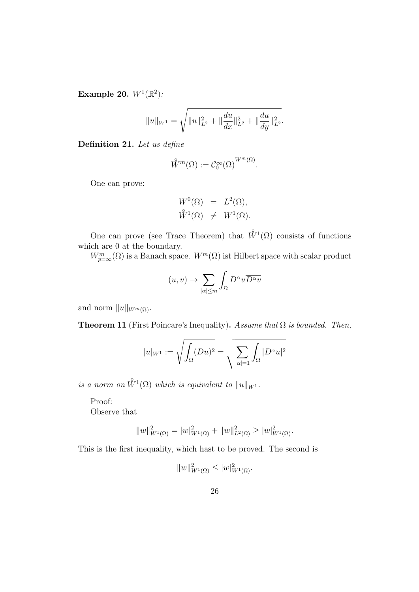**Example 20.**  $W^1(\mathbb{R}^2)$ :

$$
||u||_{W^1} = \sqrt{||u||_{L^2}^2 + ||\frac{du}{dx}||_{L^2}^2 + ||\frac{du}{dy}||_{L^2}^2}.
$$

**Definition 21.** *Let us define*

$$
\hat{W}^m(\Omega) := \overline{\mathcal{C}_0^{\infty}(\Omega)}^{W^m(\Omega)}.
$$

One can prove:

$$
W^{0}(\Omega) = L^{2}(\Omega),
$$
  

$$
\mathring{W}^{1}(\Omega) \neq W^{1}(\Omega).
$$

One can prove (see Trace Theorem) that  $\mathring{W}^1(\Omega)$  consists of functions which are 0 at the boundary.

 $W_{p=\infty}^m(\Omega)$  is a Banach space.  $W^m(\Omega)$  ist Hilbert space with scalar product

$$
(u,v) \to \sum_{|\alpha| \le m} \int_{\Omega} D^{\alpha} u \overline{D^{\alpha} v}
$$

and norm  $||u||_{W^m(\Omega)}$ .

**Theorem 11** (First Poincare's Inequality)**.** *Assume that* Ω *is bounded. Then,*

$$
|u|_{W^1} := \sqrt{\int_{\Omega} (Du)^2} = \sqrt{\sum_{|\alpha|=1} \int_{\Omega} |D^{\alpha}u|^2}
$$

 $\hat{W}^1(\Omega)$  *which is equivalent to*  $||u||_{W^1}$ .

#### Proof:

Observe that

$$
||w||_{W^{1}(\Omega)}^{2} = |w|_{W^{1}(\Omega)}^{2} + ||w||_{L^{2}(\Omega)}^{2} \geq |w|_{W^{1}(\Omega)}^{2}.
$$

This is the first inequality, which hast to be proved. The second is

$$
||w||_{W^{1}(\Omega)}^{2} \leq |w|_{W^{1}(\Omega)}^{2}.
$$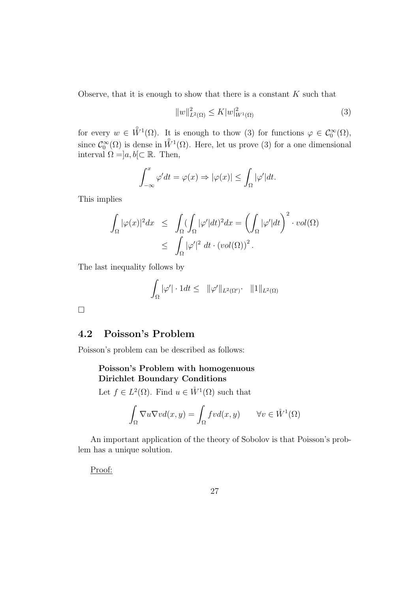Observe, that it is enough to show that there is a constant *K* such that

$$
||w||_{L^{2}(\Omega)}^{2} \le K|w|_{W^{1}(\Omega)}^{2}
$$
\n(3)

for every  $w \in \mathring{W}^1(\Omega)$ . It is enough to thow (3) for functions  $\varphi \in \mathcal{C}_0^{\infty}(\Omega)$ , since  $\mathcal{C}_0^{\infty}(\Omega)$  is dense in  $\mathring{W}^1(\Omega)$ . Here, let us prove (3) for a one dimensional interval  $\Omega =]a, b[ \subset \mathbb{R}$ . Then,

$$
\int_{-\infty}^{x} \varphi' dt = \varphi(x) \Rightarrow |\varphi(x)| \le \int_{\Omega} |\varphi'| dt.
$$

This implies

$$
\int_{\Omega} |\varphi(x)|^2 dx \leq \int_{\Omega} (\int_{\Omega} |\varphi'| dt)^2 dx = \left( \int_{\Omega} |\varphi'| dt \right)^2 \cdot vol(\Omega)
$$
  

$$
\leq \int_{\Omega} |\varphi'|^2 dt \cdot (vol(\Omega))^2.
$$

The last inequality follows by

$$
\int_{\Omega} |\varphi'| \cdot 1 dt \leq ||\varphi'||_{L^2(\Omega')} \cdot ||1||_{L^2(\Omega)}
$$

□

### **4.2 Poisson's Problem**

Poisson's problem can be described as follows:

### **Poisson's Problem with homogenuous Dirichlet Boundary Conditions**

Let  $f \in L^2(\Omega)$ . Find  $u \in \mathring{W}^1(\Omega)$  such that

$$
\int_{\Omega} \nabla u \nabla v d(x, y) = \int_{\Omega} f v d(x, y) \qquad \forall v \in \mathring{W}^1(\Omega)
$$

An important application of the theory of Sobolov is that Poisson's problem has a unique solution.

Proof: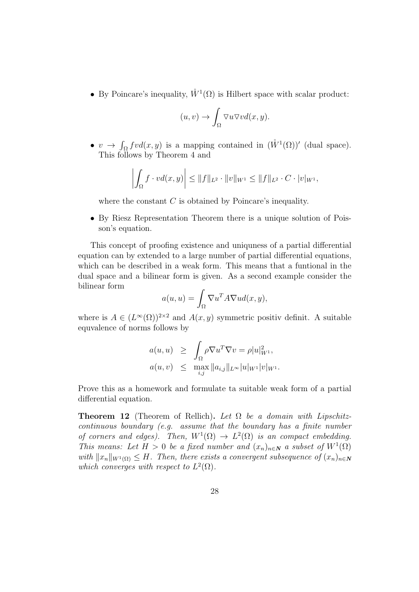• By Poincare's inequality,  $\mathring{W}^1(\Omega)$  is Hilbert space with scalar product:

$$
(u,v) \to \int_{\Omega} \nabla u \nabla v d(x,y).
$$

•  $v \to \int_{\Omega} f v d(x, y)$  is a mapping contained in  $(\mathring{W}^1(\Omega))'$  (dual space). This follows by Theorem 4 and

$$
\left| \int_{\Omega} f \cdot v d(x, y) \right| \leq \|f\|_{L^2} \cdot \|v\|_{W^1} \leq \|f\|_{L^2} \cdot C \cdot |v|_{W^1},
$$

where the constant *C* is obtained by Poincare's inequality.

*•* By Riesz Representation Theorem there is a unique solution of Poisson's equation.

This concept of proofing existence and uniquness of a partial differential equation can by extended to a large number of partial differential equations, which can be described in a weak form. This means that a funtional in the dual space and a bilinear form is given. As a second example consider the bilinear form

$$
a(u, u) = \int_{\Omega} \nabla u^T A \nabla u d(x, y),
$$

where is  $A \in (L^{\infty}(\Omega))^{2\times 2}$  and  $A(x, y)$  symmetric positiv definit. A suitable equvalence of norms follows by

$$
a(u, u) \geq \int_{\Omega} \rho \nabla u^T \nabla v = \rho |u|_{W^1}^2,
$$
  

$$
a(u, v) \leq \max_{i,j} ||a_{i,j}||_{L^{\infty}} |u|_{W^1} |v|_{W^1}.
$$

Prove this as a homework and formulate ta suitable weak form of a partial differential equation.

**Theorem 12** (Theorem of Rellich). Let  $\Omega$  be a domain with Lipschitz*continuous boundary (e.g. assume that the boundary has a finite number of corners and edges). Then,*  $W^1(\Omega) \to L^2(\Omega)$  *is an compact embedding. This means: Let*  $H > 0$  *be a fixed number and*  $(x_n)_{n \in \mathbb{N}}$  *a subset of*  $W^1(\Omega)$  $with$   $||x_n||_{W^1(\Omega)} \leq H$ . Then, there exists a convergent subsequence of  $(x_n)_{n \in \mathbb{N}}$ which converges with respect to  $L^2(\Omega)$ .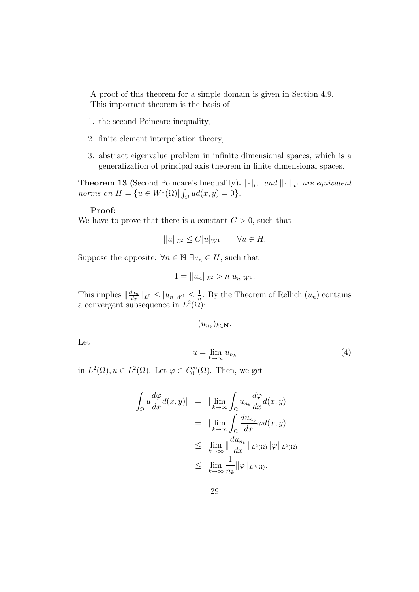A proof of this theorem for a simple domain is given in Section 4.9. This important theorem is the basis of

- 1. the second Poincare inequality,
- 2. finite element interpolation theory,
- 3. abstract eigenvalue problem in infinite dimensional spaces, which is a generalization of principal axis theorem in finite dimensional spaces.

**Theorem 13** (Second Poincare's Inequality).  $|\cdot|_{w^1}$  *and*  $||\cdot||_{w^1}$  *are equivalent norms on*  $H = \{u \in W^1(\Omega) | \int_{\Omega} u d(x, y) = 0\}.$ 

#### **Proof:**

We have to prove that there is a constant  $C > 0$ , such that

$$
||u||_{L^2} \leq C|u|_{W^1} \qquad \forall u \in H.
$$

Suppose the opposite:  $\forall n \in \mathbb{N} \exists u_n \in H$ , such that

$$
1 = ||u_n||_{L^2} > n|u_n|_{W^1}.
$$

This implies  $\left\|\frac{du_n}{dx}\right\|_{L^2} \leq |u_n|_{W^1} \leq \frac{1}{n}$  $\frac{1}{n}$ . By the Theorem of Rellich  $(u_n)$  contains a convergent subsequence in  $L^2(\Omega)$ :

$$
(u_{n_k})_{k\in\mathbf{N}}.
$$

Let

$$
u = \lim_{k \to \infty} u_{n_k} \tag{4}
$$

in  $L^2(\Omega)$ ,  $u \in L^2(\Omega)$ . Let  $\varphi \in C_0^{\infty}(\Omega)$ . Then, we get

$$
\begin{aligned}\n|\int_{\Omega} u \frac{d\varphi}{dx} d(x, y)| &= |\lim_{k \to \infty} \int_{\Omega} u_{n_k} \frac{d\varphi}{dx} d(x, y)| \\
&= |\lim_{k \to \infty} \int_{\Omega} \frac{du_{n_k}}{dx} \varphi d(x, y)| \\
&\leq \lim_{k \to \infty} \|\frac{du_{n_k}}{dx}\|_{L^2(\Omega)} \|\varphi\|_{L^2(\Omega)} \\
&\leq \lim_{k \to \infty} \frac{1}{n_k} \|\varphi\|_{L^2(\Omega)}.\n\end{aligned}
$$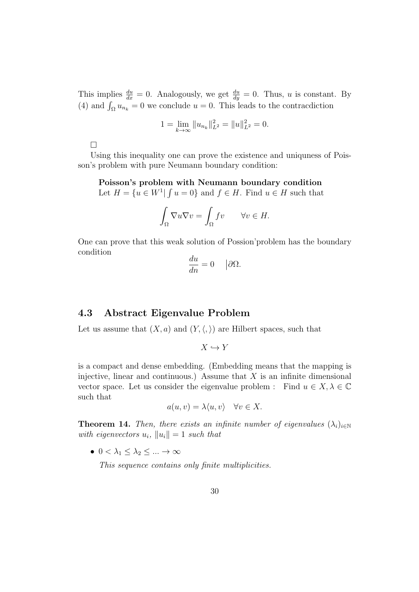This implies  $\frac{du}{dx} = 0$ . Analogously, we get  $\frac{du}{dy} = 0$ . Thus, *u* is constant. By (4) and  $\int_{\Omega} u_{n_k} = 0$  we conclude  $u = 0$ . This leads to the contracdiction

$$
1 = \lim_{k \to \infty} \|u_{n_k}\|_{L^2}^2 = \|u\|_{L^2}^2 = 0.
$$

 $\Box$ 

Using this inequality one can prove the existence and uniquness of Poisson's problem with pure Neumann boundary condition:

#### **Poisson's problem with Neumann boundary condition**

Let  $H = \{u \in W^1 | \int u = 0\}$  and  $f \in H$ . Find  $u \in H$  such that

$$
\int_{\Omega} \nabla u \nabla v = \int_{\Omega} fv \qquad \forall v \in H.
$$

One can prove that this weak solution of Possion'problem has the boundary condition

$$
\frac{du}{dn} = 0 \quad |\partial \Omega.
$$

### **4.3 Abstract Eigenvalue Problem**

Let us assume that  $(X, a)$  and  $(Y, \langle, \rangle)$  are Hilbert spaces, such that

$$
X\hookrightarrow Y
$$

is a compact and dense embedding. (Embedding means that the mapping is injective, linear and continuous.) Assume that *X* is an infinite dimensional vector space. Let us consider the eigenvalue problem : Find  $u \in X, \lambda \in \mathbb{C}$ such that

$$
a(u, v) = \lambda \langle u, v \rangle \quad \forall v \in X.
$$

**Theorem 14.** *Then, there exists an infinite number of eigenvalues*  $(\lambda_i)_{i \in \mathbb{N}}$ *with eigenvectors*  $u_i$ ,  $||u_i|| = 1$  *such that* 

•  $0 < \lambda_1 \leq \lambda_2 \leq ... \to \infty$ 

*This sequence contains only finite multiplicities.*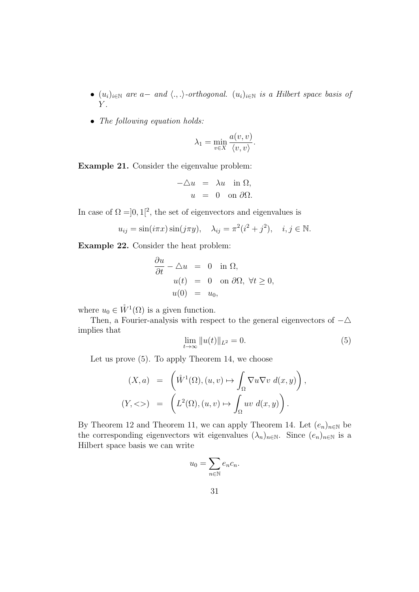- *•* (*ui*)*<sup>i</sup>∈*<sup>N</sup> *are a− and ⟨., .⟩-orthogonal.* (*ui*)*<sup>i</sup>∈*<sup>N</sup> *is a Hilbert space basis of Y .*
- *• The following equation holds:*

$$
\lambda_1 = \min_{v \in X} \frac{a(v, v)}{\langle v, v \rangle}.
$$

**Example 21.** Consider the eigenvalue problem:

$$
-\triangle u = \lambda u \text{ in } \Omega,
$$
  

$$
u = 0 \text{ on } \partial \Omega.
$$

In case of  $\Omega = ]0,1[^2]$ , the set of eigenvectors and eigenvalues is

$$
u_{ij} = \sin(i\pi x)\sin(j\pi y), \quad \lambda_{ij} = \pi^2(i^2 + j^2), \quad i, j \in \mathbb{N}.
$$

**Example 22.** Consider the heat problem:

$$
\frac{\partial u}{\partial t} - \triangle u = 0 \quad \text{in } \Omega,
$$
  
\n
$$
u(t) = 0 \quad \text{on } \partial\Omega, \ \forall t \ge 0,
$$
  
\n
$$
u(0) = u_0,
$$

where  $u_0 \in \mathring{W}^1(\Omega)$  is a given function.

Then, a Fourier-analysis with respect to the general eigenvectors of *−△* implies that

$$
\lim_{t \to \infty} ||u(t)||_{L^2} = 0.
$$
\n(5)

Let us prove (5). To apply Theorem 14, we choose

$$
(X, a) = \left(\mathring{W}^1(\Omega), (u, v) \mapsto \int_{\Omega} \nabla u \nabla v \, d(x, y)\right),
$$
  

$$
(Y, \langle \rangle) = \left(L^2(\Omega), (u, v) \mapsto \int_{\Omega} uv \, d(x, y)\right).
$$

By Theorem 12 and Theorem 11, we can apply Theorem 14. Let  $(e_n)_{n\in\mathbb{N}}$  be the corresponding eigenvectors wit eigenvalues  $(\lambda_n)_{n\in\mathbb{N}}$ . Since  $(e_n)_{n\in\mathbb{N}}$  is a Hilbert space basis we can write

$$
u_0 = \sum_{n \in \mathbb{N}} e_n c_n.
$$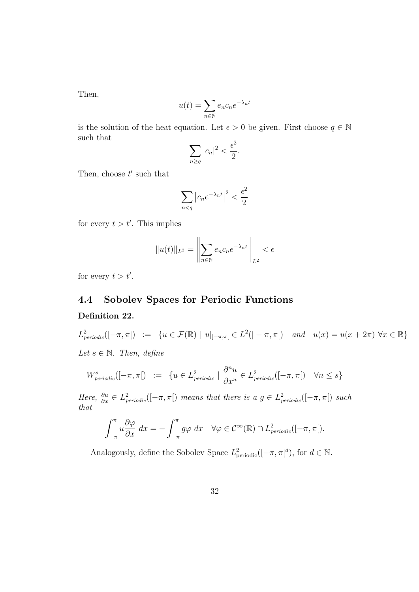Then,

$$
u(t) = \sum_{n \in \mathbb{N}} e_n c_n e^{-\lambda_n t}
$$

is the solution of the heat equation. Let  $\epsilon > 0$  be given. First choose  $q \in \mathbb{N}$ such that

$$
\sum_{n\geq q}|c_n|^2<\frac{\epsilon^2}{2}.
$$

Then, choose *t ′* such that

$$
\sum_{n < q} \left| c_n e^{-\lambda_n t} \right|^2 < \frac{\epsilon^2}{2}
$$

for every  $t > t'$ . This implies

$$
||u(t)||_{L^2} = \left\|\sum_{n\in\mathbb{N}} e_n c_n e^{-\lambda_n t}\right\|_{L^2} < \epsilon
$$

for every  $t > t'$ .

# **4.4 Sobolev Spaces for Periodic Functions Definition 22.**

 $L^2_{periodic}([-\pi,\pi]) := \{ u \in \mathcal{F}(\mathbb{R}) \mid u|_{]-\pi,\pi[} \in L^2(]-\pi,\pi[) \text{ and } u(x) = u(x+2\pi) \,\forall x \in \mathbb{R} \}$ *Let*  $s \in \mathbb{N}$ *. Then, define* 

$$
W_{periodic}^s([-\pi,\pi[) := \{ u \in L_{periodic}^2 \mid \frac{\partial^n u}{\partial x^n} \in L_{periodic}^2([-\pi,\pi[) \quad \forall n \le s \}
$$

*Here,*  $\frac{\partial u}{\partial x} \in L^2_{periodic}([-\pi,\pi])$  *means that there is a*  $g \in L^2_{periodic}([-\pi,\pi])$  *such that*

$$
\int_{-\pi}^{\pi} u \frac{\partial \varphi}{\partial x} dx = - \int_{-\pi}^{\pi} g \varphi dx \quad \forall \varphi \in C^{\infty}(\mathbb{R}) \cap L_{periodic}^{2}([-\pi,\pi]).
$$

Analogously, define the Sobolev Space  $L^2_{\text{periodic}}([-\pi, \pi]^d)$ , for  $d \in \mathbb{N}$ .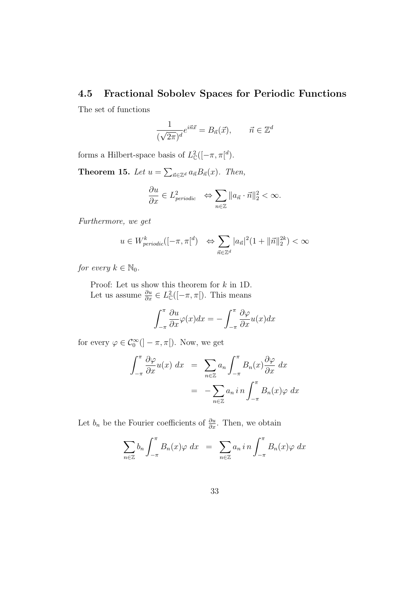### **4.5 Fractional Sobolev Spaces for Periodic Functions**

The set of functions

$$
\frac{1}{(\sqrt{2\pi})^d}e^{i\vec{n}\vec{x}} = B_{\vec{n}}(\vec{x}), \qquad \vec{n} \in \mathbb{Z}^d
$$

forms a Hilbert-space basis of  $L^2_{\mathcal{C}}$  $_{\mathbb{C}}^{2}([-\pi,\pi[$ <sup>*d*</sup>).

**Theorem 15.** *Let*  $u = \sum_{\vec{n} \in \mathbb{Z}^d} a_{\vec{n}} B_{\vec{n}}(x)$ *. Then,* 

$$
\frac{\partial u}{\partial x} \in L^2_{periodic} \quad \Leftrightarrow \sum_{n \in \mathbb{Z}} ||a_{\vec{n}} \cdot \vec{n}||_2^2 < \infty.
$$

*Furthermore, we get*

$$
u \in W^k_{periodic}([-\pi,\pi]^d) \iff \sum_{\vec{n} \in \mathbb{Z}^d} |a_{\vec{n}}|^2 (1 + ||\vec{n}||_2^{2k}) < \infty
$$

*for every*  $k \in \mathbb{N}_0$ .

Proof: Let us show this theorem for *k* in 1D. Let us assume  $\frac{\partial u}{\partial x} \in L^2$  $_{\mathbb{C}}^{2}([-\pi,\pi])$ . This means

$$
\int_{-\pi}^{\pi} \frac{\partial u}{\partial x} \varphi(x) dx = -\int_{-\pi}^{\pi} \frac{\partial \varphi}{\partial x} u(x) dx
$$

for every  $\varphi \in C_0^{\infty}([- \pi, \pi[). \text{ Now, we get})$ 

$$
\int_{-\pi}^{\pi} \frac{\partial \varphi}{\partial x} u(x) dx = \sum_{n \in \mathbb{Z}} a_n \int_{-\pi}^{\pi} B_n(x) \frac{\partial \varphi}{\partial x} dx
$$

$$
= - \sum_{n \in \mathbb{Z}} a_n i n \int_{-\pi}^{\pi} B_n(x) \varphi dx
$$

Let  $b_n$  be the Fourier coefficients of  $\frac{\partial u}{\partial x}$ . Then, we obtain

$$
\sum_{n\in\mathbb{Z}} b_n \int_{-\pi}^{\pi} B_n(x) \varphi \, dx = \sum_{n\in\mathbb{Z}} a_n i n \int_{-\pi}^{\pi} B_n(x) \varphi \, dx
$$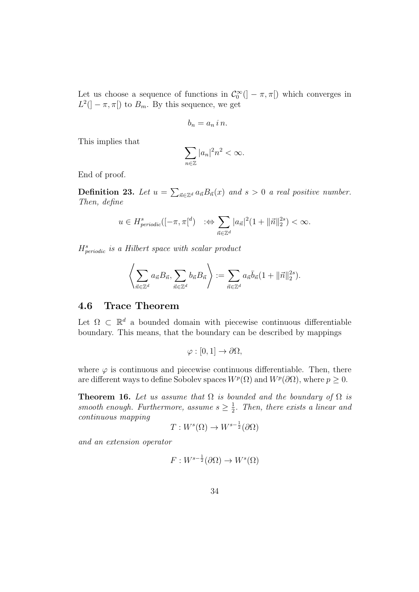Let us choose a sequence of functions in  $\mathcal{C}_0^{\infty}$  ( $]-\pi,\pi$ ) which converges in  $L^2(]-\pi,\pi[)$  to  $B_m$ . By this sequence, we get

$$
b_n = a_n \, i \, n.
$$

This implies that

$$
\sum_{n\in\mathbb{Z}}|a_n|^2n^2<\infty.
$$

End of proof.

**Definition 23.** Let  $u = \sum_{\vec{n} \in \mathbb{Z}^d} a_{\vec{n}} B_{\vec{n}}(x)$  and  $s > 0$  a real positive number. *Then, define*

$$
u \in H^s_{periodic}([-\pi,\pi]^d) \quad :\Leftrightarrow \sum_{\vec{n} \in \mathbb{Z}^d} |a_{\vec{n}}|^2 (1 + ||\vec{n}||_2^{2s}) < \infty.
$$

*H<sup>s</sup> periodic is a Hilbert space with scalar product*

$$
\left\langle \sum_{\vec{n}\in\mathbb{Z}^d} a_{\vec{n}} B_{\vec{n}}, \sum_{\vec{n}\in\mathbb{Z}^d} b_{\vec{n}} B_{\vec{n}} \right\rangle := \sum_{\vec{n}\in\mathbb{Z}^d} a_{\vec{n}} \overline{b}_{\vec{n}} (1 + ||\vec{n}||_2^{2s}).
$$

## **4.6 Trace Theorem**

Let  $\Omega \subset \mathbb{R}^d$  a bounded domain with piecewise continuous differentiable boundary. This means, that the boundary can be described by mappings

$$
\varphi : [0,1] \to \partial \Omega,
$$

where  $\varphi$  is continuous and piecewise continuous differentiable. Then, there are different ways to define Sobolev spaces  $W^p(\Omega)$  and  $W^p(\partial\Omega)$ , where  $p \geq 0$ .

**Theorem 16.** Let us assume that  $\Omega$  is bounded and the boundary of  $\Omega$  is *smooth enough. Furthermore, assume*  $s \geq \frac{1}{2}$  $\frac{1}{2}$ . Then, there exists a linear and *continuous mapping*

$$
T: W^s(\Omega) \to W^{s-\frac{1}{2}}(\partial\Omega)
$$

*and an extension operator*

$$
F: W^{s-\frac{1}{2}}(\partial\Omega) \to W^s(\Omega)
$$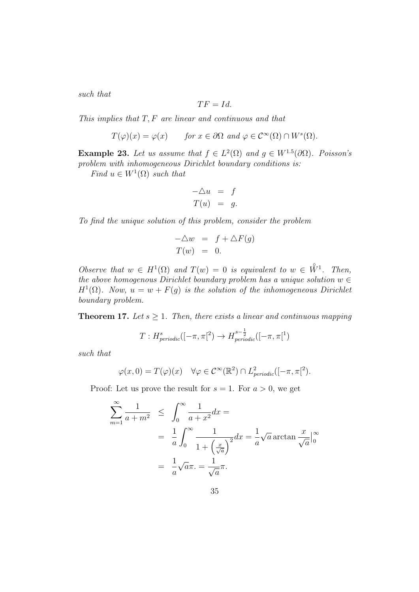*such that*

$$
TF=Id.
$$

*This implies that T, F are linear and continuous and that*

$$
T(\varphi)(x) = \varphi(x)
$$
 for  $x \in \partial\Omega$  and  $\varphi \in C^{\infty}(\Omega) \cap W^{s}(\Omega)$ .

**Example 23.** *Let us assume that*  $f \in L^2(\Omega)$  *and*  $g \in W^{1.5}(\partial\Omega)$ *. Poisson's problem with inhomogeneous Dirichlet boundary conditions is:*

*Find*  $u \in W^1(\Omega)$  *such that* 

$$
\begin{array}{rcl}\n-\triangle u & = & f \\
T(u) & = & g.\n\end{array}
$$

*To find the unique solution of this problem, consider the problem*

$$
-\triangle w = f + \triangle F(g)
$$
  

$$
T(w) = 0.
$$

*Observe that*  $w \in H^1(\Omega)$  *and*  $T(w) = 0$  *is equivalent to*  $w \in \mathring{W}^1$ *. Then, the above homogenous Dirichlet boundary problem has a unique solution*  $w \in$  $H^1(\Omega)$ *. Now,*  $u = w + F(g)$  *is the solution of the inhomogeneous Dirichlet boundary problem.*

**Theorem 17.** Let  $s \geq 1$ . Then, there exists a linear and continuous mapping

$$
T: H^s_{periodic}([-\pi,\pi[^2] \to H^{s-\frac{1}{2}}_{periodic}([-\pi,\pi[^1])
$$

*such that*

$$
\varphi(x,0) = T(\varphi)(x) \quad \forall \varphi \in C^{\infty}(\mathbb{R}^2) \cap L_{periodic}^2([-\pi,\pi]^2).
$$

Proof: Let us prove the result for  $s = 1$ . For  $a > 0$ , we get

$$
\sum_{m=1}^{\infty} \frac{1}{a+m^2} \le \int_0^{\infty} \frac{1}{a+x^2} dx =
$$
  
= 
$$
\frac{1}{a} \int_0^{\infty} \frac{1}{1 + \left(\frac{x}{\sqrt{a}}\right)^2} dx = \frac{1}{a} \sqrt{a} \arctan \frac{x}{\sqrt{a}} \Big|_0^{\infty}
$$
  
= 
$$
\frac{1}{a} \sqrt{a} \pi = \frac{1}{\sqrt{a}} \pi.
$$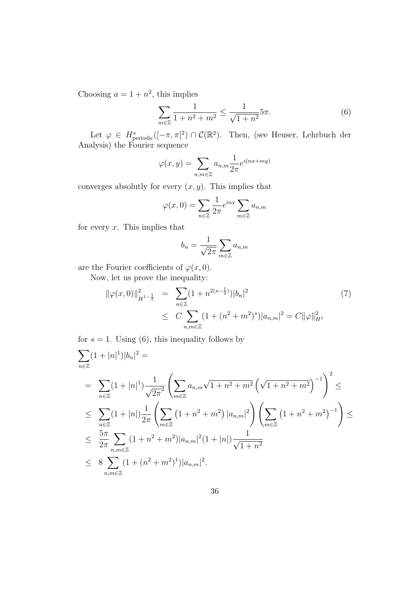Choosing  $a = 1 + n^2$ , this implies

$$
\sum_{m\in\mathbb{Z}}\frac{1}{1+n^2+m^2} \le \frac{1}{\sqrt{1+n^2}} 5\pi.
$$
 (6)

Let  $\varphi \in H^s_{\text{periodic}}([-\pi,\pi]^2) \cap C(\mathbb{R}^2)$ . Then, (see Heuser, Lehrbuch der Analysis) the Fourier sequence

$$
\varphi(x,y) = \sum_{n,m \in \mathbb{Z}} a_{n,m} \frac{1}{2\pi} e^{i(nx+my)}
$$

converges absolutly for every  $(x, y)$ . This implies that

$$
\varphi(x,0) = \sum_{n \in \mathbb{Z}} \frac{1}{2\pi} e^{inx} \sum_{m \in \mathbb{Z}} a_{n,m}
$$

for every *x*. This implies that

$$
b_n = \frac{1}{\sqrt{2\pi}} \sum_{m \in \mathbb{Z}} a_{n,m}
$$

are the Fourier coefficients of  $\varphi(x,0)$ .

Now, let us prove the inequality:

$$
\|\varphi(x,0)\|_{H^{1-\frac{1}{2}}}^{2} = \sum_{n\in\mathbb{Z}} (1+n^{2(s-\frac{1}{2})})|b_{n}|^{2}
$$
\n
$$
\leq C \sum_{n,m\in\mathbb{Z}} (1+(n^{2}+m^{2})^{s})|a_{n,m}|^{2} = C \|\varphi\|_{H^{1}}^{2}
$$
\n(7)

for  $s = 1$ . Using (6), this inequality follows by

$$
\sum_{n\in\mathbb{Z}} (1+|n|^1)|b_n|^2 =
$$
\n
$$
= \sum_{n\in\mathbb{Z}} (1+|n|^1) \frac{1}{\sqrt{2\pi}^2} \left( \sum_{m\in\mathbb{Z}} a_{n,m} \sqrt{1+n^2+m^2} \left( \sqrt{1+n^2+m^2} \right)^{-1} \right)^2 \le
$$
\n
$$
\leq \sum_{n\in\mathbb{Z}} (1+|n|) \frac{1}{2\pi} \left( \sum_{m\in\mathbb{Z}} (1+n^2+m^2) |a_{n,m}|^2 \right) \left( \sum_{m\in\mathbb{Z}} (1+n^2+m^2)^{-1} \right) \le
$$
\n
$$
\leq \frac{5\pi}{2\pi} \sum_{n,m\in\mathbb{Z}} (1+n^2+m^2) |a_{n,m}|^2 (1+|n|) \frac{1}{\sqrt{1+n^2}}
$$
\n
$$
\leq 8 \sum_{n,m\in\mathbb{Z}} (1+(n^2+m^2)^1) |a_{n,m}|^2.
$$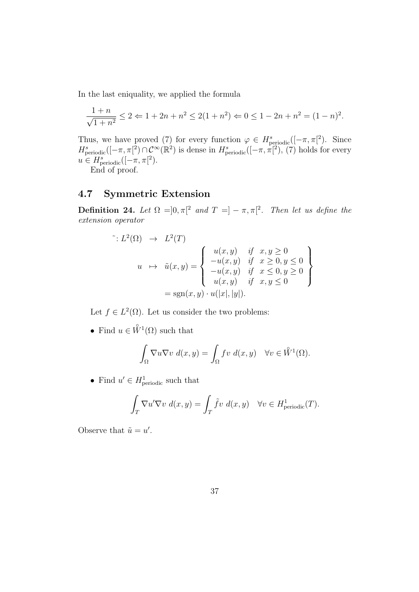In the last eniquality, we applied the formula

$$
\frac{1+n}{\sqrt{1+n^2}} \le 2 \Leftarrow 1 + 2n + n^2 \le 2(1+n^2) \Leftarrow 0 \le 1 - 2n + n^2 = (1-n)^2.
$$

Thus, we have proved (7) for every function  $\varphi \in H^s_{\text{periodic}}([-\pi,\pi]^2)$ . Since  $H^s_{\text{periodic}}([-\pi,\pi]^2) \cap C^\infty(\mathbb{R}^2)$  is dense in  $H^s_{\text{periodic}}([-\pi,\pi]^2)$ , (7) holds for every  $u \in H^s_{\text{periodic}}([-\pi,\pi[^2]).$ 

End of proof.

# **4.7 Symmetric Extension**

**Definition 24.** Let  $\Omega = ]0, \pi[^2$  and  $T = ]-\pi, \pi[^2$ . Then let us define the *extension operator*

$$
u \mapsto L^2(T)
$$
  
\n
$$
u \mapsto \tilde{u}(x, y) = \begin{cases} u(x, y) & \text{if } x, y \ge 0 \\ -u(x, y) & \text{if } x \ge 0, y \le 0 \\ -u(x, y) & \text{if } x \le 0, y \ge 0 \\ u(x, y) & \text{if } x, y \le 0 \end{cases}
$$
  
\n
$$
= sgn(x, y) \cdot u(|x|, |y|).
$$

Let  $f \in L^2(\Omega)$ . Let us consider the two problems:

• Find  $u \in \mathring{W}^1(\Omega)$  such that

$$
\int_{\Omega} \nabla u \nabla v \, d(x, y) = \int_{\Omega} f v \, d(x, y) \quad \forall v \in \overset{\circ}{W}^{1}(\Omega).
$$

• Find  $u' \in H^1_{\text{periodic}}$  such that

$$
\int_T \nabla u' \nabla v \, d(x, y) = \int_T \tilde{f} v \, d(x, y) \quad \forall v \in H^1_{\text{periodic}}(T).
$$

Observe that  $\tilde{u} = u'$ .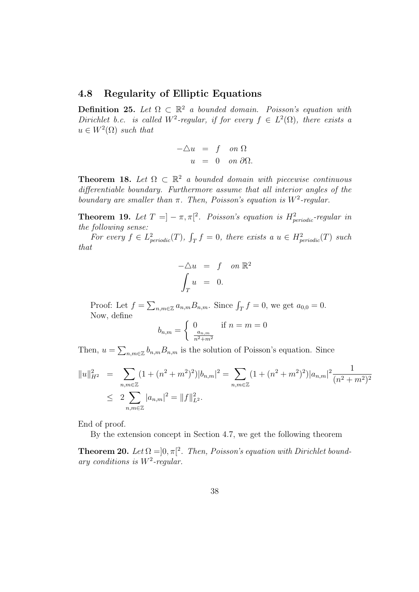### **4.8 Regularity of Elliptic Equations**

**Definition 25.** *Let*  $\Omega \subset \mathbb{R}^2$  *a bounded domain. Poisson's equation with Dirichlet b.c. is called*  $W^2$ -regular, if for every  $f \in L^2(\Omega)$ , there exists a  $u \in W^2(\Omega)$  *such that* 

$$
-\triangle u = f \quad on \ \Omega
$$
  

$$
u = 0 \quad on \ \partial \Omega.
$$

**Theorem 18.** Let  $\Omega \subset \mathbb{R}^2$  a bounded domain with piecewise continuous *differentiable boundary. Furthermore assume that all interior angles of the boundary are smaller than*  $\pi$ . Then, Poisson's equation is  $W^2$ -regular.

**Theorem 19.** Let  $T = ] - \pi, \pi[$ <sup>2</sup>. Poisson's equation is  $H_{periodic}^2$ -regular in *the following sense:*

*For every*  $f \in L^2_{periodic}(T)$ ,  $\int_T f = 0$ , there exists a  $u \in H^2_{periodic}(T)$  such *that*

$$
-\triangle u = f \quad on \ \mathbb{R}^2
$$

$$
\int_T u = 0.
$$

Proof: Let  $f = \sum_{n,m \in \mathbb{Z}} a_{n,m} B_{n,m}$ . Since  $\int_T f = 0$ , we get  $a_{0,0} = 0$ . Now, define

$$
b_{n,m} = \begin{cases} 0 & \text{if } n = m = 0\\ \frac{a_{n,m}}{n^2 + m^2} \end{cases}
$$

Then,  $u = \sum_{n,m \in \mathbb{Z}} b_{n,m} B_{n,m}$  is the solution of Poisson's equation. Since

$$
||u||_{H^2}^2 = \sum_{n,m \in \mathbb{Z}} (1 + (n^2 + m^2)^2) |b_{n,m}|^2 = \sum_{n,m \in \mathbb{Z}} (1 + (n^2 + m^2)^2) |a_{n,m}|^2 \frac{1}{(n^2 + m^2)^2}
$$
  
 
$$
\leq 2 \sum_{n,m \in \mathbb{Z}} |a_{n,m}|^2 = ||f||_{L^2}^2.
$$

End of proof.

By the extension concept in Section 4.7, we get the following theorem

**Theorem 20.** Let  $\Omega = ]0, \pi[^2$ . Then, Poisson's equation with Dirichlet bound*ary conditions is W*<sup>2</sup> *-regular.*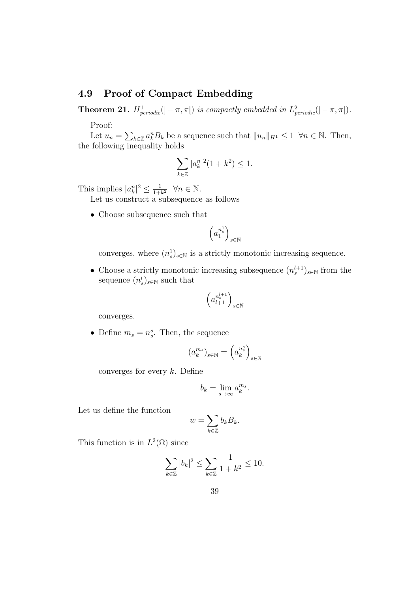## **4.9 Proof of Compact Embedding**

**Theorem 21.**  $H_{periodic}^1(]-\pi,\pi[)$  *is compactly embedded in*  $L_{periodic}^2(]-\pi,\pi[)$ *.* Proof:

Let  $u_n = \sum_{k \in \mathbb{Z}} a_k^n B_k$  be a sequence such that  $||u_n||_{H^1} \leq 1 \ \forall n \in \mathbb{N}$ . Then, the following inequality holds

$$
\sum_{k\in\mathbb{Z}} |a_k^n|^2 (1+k^2) \le 1.
$$

This implies  $|a_k^n|^2 \leq \frac{1}{1+n}$  $\frac{1}{1+k^2}$   $\forall n \in \mathbb{N}$ .

Let us construct a subsequence as follows

• Choose subsequence such that

$$
\left(a_1^{n_s^1}\right)_{s\in\mathbb{N}}
$$

converges, where  $(n_s^1)_{s \in \mathbb{N}}$  is a strictly monotonic increasing sequence.

• Choose a strictly monotonic increasing subsequence  $(n_s^{l+1})_{s \in \mathbb{N}}$  from the sequence  $(n_s^l)_{s \in \mathbb{N}}$  such that

$$
\left(a^{n_s^{l+1}}_{l+1}\right)_{s\in\mathbb{N}}
$$

converges.

• Define  $m_s = n_s^s$ . Then, the sequence

$$
\left(a_k^{m_s}\right)_{s\in\mathbb{N}}=\left(a_k^{n_s^s}\right)_{s\in\mathbb{N}}
$$

converges for every *k*. Define

$$
b_k = \lim_{s \to \infty} a_k^{m_s}.
$$

Let us define the function

$$
w = \sum_{k \in \mathbb{Z}} b_k B_k.
$$

This function is in  $L^2(\Omega)$  since

$$
\sum_{k \in \mathbb{Z}} |b_k|^2 \le \sum_{k \in \mathbb{Z}} \frac{1}{1 + k^2} \le 10.
$$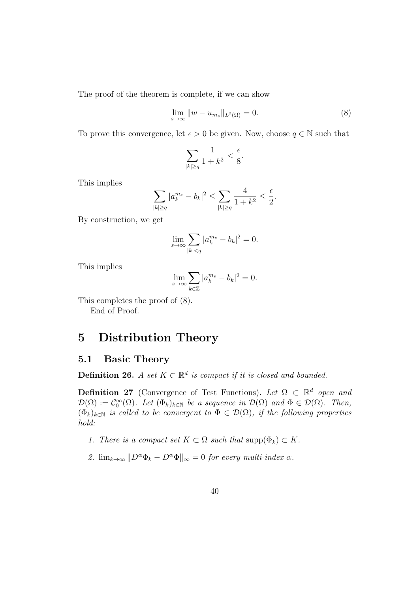The proof of the theorem is complete, if we can show

$$
\lim_{s \to \infty} \|w - u_{m_s}\|_{L^2(\Omega)} = 0.
$$
\n(8)

To prove this convergence, let  $\epsilon > 0$  be given. Now, choose  $q \in \mathbb{N}$  such that

$$
\sum_{|k|\geq q}\frac{1}{1+k^2}<\frac{\epsilon}{8}.
$$

This implies

$$
\sum_{|k|\geq q} |a_k^{m_s} - b_k|^2 \leq \sum_{|k|\geq q} \frac{4}{1+k^2} \leq \frac{\epsilon}{2}.
$$

By construction, we get

$$
\lim_{s \to \infty} \sum_{|k| < q} |a_k^{m_s} - b_k|^2 = 0.
$$

This implies

$$
\lim_{s \to \infty} \sum_{k \in \mathbb{Z}} |a_k^{m_s} - b_k|^2 = 0.
$$

This completes the proof of (8).

End of Proof.

# **5 Distribution Theory**

### **5.1 Basic Theory**

**Definition 26.** *A set*  $K \subset \mathbb{R}^d$  *is compact if it is closed and bounded.* 

**Definition 27** (Convergence of Test Functions). Let  $\Omega \subset \mathbb{R}^d$  open and  $\mathcal{D}(\Omega) := \mathcal{C}_0^{\infty}(\Omega)$ *. Let*  $(\Phi_k)_{k \in \mathbb{N}}$  *be a sequence in*  $\mathcal{D}(\Omega)$  *and*  $\Phi \in \mathcal{D}(\Omega)$ *. Then,*  $(\Phi_k)_{k \in \mathbb{N}}$  *is called to be convergent to*  $\Phi \in \mathcal{D}(\Omega)$ *, if the following properties hold:*

- *1. There is a compact set*  $K \subset \Omega$  *such that*  $\text{supp}(\Phi_k) \subset K$ *.*
- 2.  $\lim_{k\to\infty}$   $||D^{\alpha}\Phi_k D^{\alpha}\Phi||_{\infty} = 0$  *for every multi-index*  $\alpha$ *.*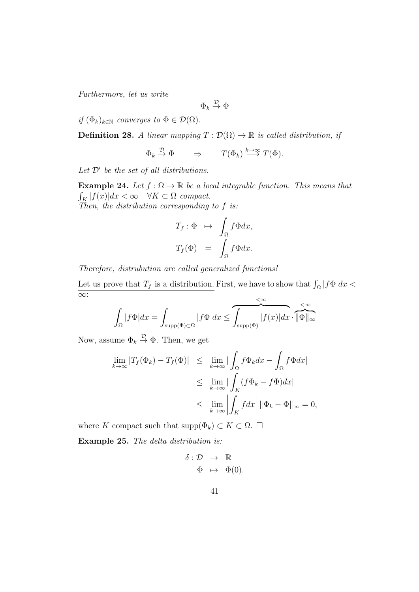*Furthermore, let us write*

$$
\Phi_k\stackrel{\mathcal{D}}{\rightarrow}\Phi
$$

*if*  $(\Phi_k)_{k \in \mathbb{N}}$  *converges to*  $\Phi \in \mathcal{D}(\Omega)$ *.* 

**Definition 28.** *A linear mapping*  $T : \mathcal{D}(\Omega) \to \mathbb{R}$  *is called distribution, if* 

$$
\Phi_k \stackrel{\mathcal{D}}{\to} \Phi \qquad \Rightarrow \qquad T(\Phi_k) \stackrel{k \to \infty}{\longrightarrow} T(\Phi).
$$

*Let D′ be the set of all distributions.*

**Example 24.** *Let*  $f : \Omega \to \mathbb{R}$  *be a local integrable function. This means that*  $\int_K |f(x)| dx < \infty \quad \forall K \subset \Omega \text{ compact.}$ *Then, the distribution corresponding to f is:*

$$
T_f: \Phi \mapsto \int_{\Omega} f \Phi dx,
$$
  

$$
T_f(\Phi) = \int_{\Omega} f \Phi dx.
$$

*Therefore, distrubution are called generalized functions!* Let us prove that  $T_f$  is a distribution. First, we have to show that  $\int_{\Omega} |f \Phi| dx <$ *∞*: *<∞*

$$
\int_{\Omega} |f\Phi| dx = \int_{\text{supp}(\Phi)\subset\Omega} |f\Phi| dx \leq \underbrace{\int_{\text{supp}(\Phi)} |f(x)| dx}_{\text{supp}(\Phi)} \cdot \underbrace{\ll \infty}_{\text{supp}(\Phi)}
$$

Now, assume  $\Phi_k \stackrel{\nu}{\to} \Phi$ . Then, we get

$$
\lim_{k \to \infty} |T_f(\Phi_k) - T_f(\Phi)| \leq \lim_{k \to \infty} |\int_{\Omega} f \Phi_k dx - \int_{\Omega} f \Phi dx|
$$
  
\n
$$
\leq \lim_{k \to \infty} |\int_K (f \Phi_k - f \Phi) dx|
$$
  
\n
$$
\leq \lim_{k \to \infty} |\int_K f dx| \|\Phi_k - \Phi\|_{\infty} = 0,
$$

where *K* compact such that  $\text{supp}(\Phi_k) \subset K \subset \Omega$ . □

**Example 25.** *The delta distribution is:*

*δ* : *D →* R  $\Phi \mapsto \Phi(0)$ .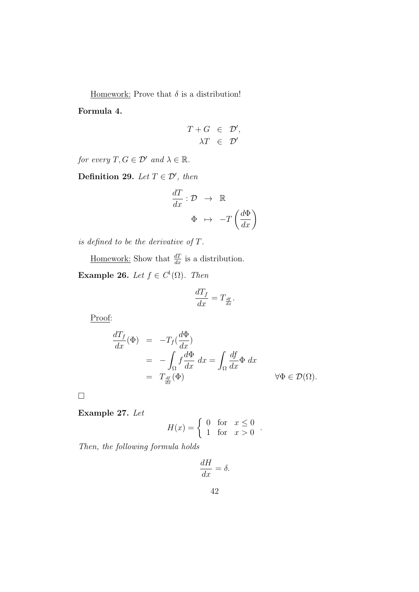Homework: Prove that  $\delta$  is a distribution!

**Formula 4.**

$$
T + G \in \mathcal{D}', \n\lambda T \in \mathcal{D}'
$$

*for every*  $T, G \in \mathcal{D}'$  *and*  $\lambda \in \mathbb{R}$ *.* 

**Definition 29.** *Let*  $T \in \mathcal{D}'$ , *then* 

$$
\frac{dT}{dx} : \mathcal{D} \rightarrow \mathbb{R}
$$
\n
$$
\Phi \mapsto -T\left(\frac{d\Phi}{dx}\right)
$$

*is defined to be the derivative of T.*

Homework: Show that  $\frac{dT}{dx}$  is a distribution.

**Example 26.** *Let*  $f \in C^1(\Omega)$ *. Then* 

$$
\frac{dT_f}{dx} = T_{\frac{df}{dx}}
$$

*.*

Proof:

$$
\frac{dT_f}{dx}(\Phi) = -T_f(\frac{d\Phi}{dx})
$$
  
=  $-\int_{\Omega} f \frac{d\Phi}{dx} dx = \int_{\Omega} \frac{df}{dx} \Phi dx$   
=  $T_{\frac{df}{dx}}(\Phi)$   $\forall \Phi \in \mathcal{D}(\Omega).$ 

□

**Example 27.** *Let*

$$
H(x) = \begin{cases} 0 & \text{for } x \le 0 \\ 1 & \text{for } x > 0 \end{cases}
$$

*.*

*Then, the following formula holds*

$$
\frac{dH}{dx} = \delta.
$$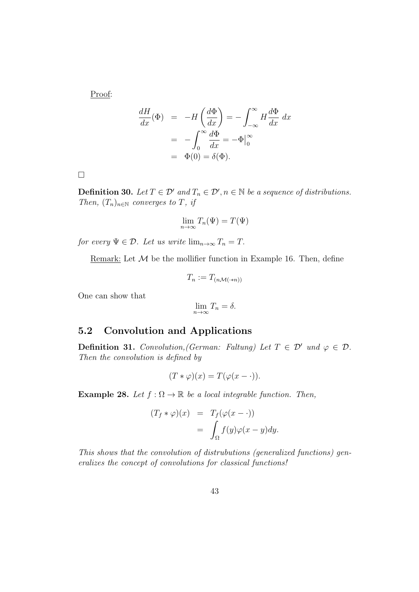Proof:

$$
\frac{dH}{dx}(\Phi) = -H\left(\frac{d\Phi}{dx}\right) = -\int_{-\infty}^{\infty} H \frac{d\Phi}{dx} dx
$$

$$
= -\int_{0}^{\infty} \frac{d\Phi}{dx} = -\Phi|_{0}^{\infty}
$$

$$
= \Phi(0) = \delta(\Phi).
$$

□

**Definition 30.** *Let*  $T \in \mathcal{D}'$  *and*  $T_n \in \mathcal{D}'$ ,  $n \in \mathbb{N}$  *be a sequence of distributions. Then,*  $(T_n)_{n \in \mathbb{N}}$  *converges to T, if* 

$$
\lim_{n \to \infty} T_n(\Psi) = T(\Psi)
$$

*for every*  $\Psi \in \mathcal{D}$ *. Let us write*  $\lim_{n\to\infty} T_n = T$ *.* 

Remark: Let  $M$  be the mollifier function in Example 16. Then, define

$$
T_n := T_{(n\mathcal{M}(\cdot*n))}
$$

One can show that

$$
\lim_{n \to \infty} T_n = \delta.
$$

## **5.2 Convolution and Applications**

**Definition 31.** *Convolution, (German: Faltung) Let*  $T \in \mathcal{D}'$  *und*  $\varphi \in \mathcal{D}$ *. Then the convolution is defined by*

$$
(T * \varphi)(x) = T(\varphi(x - \cdot)).
$$

**Example 28.** *Let*  $f : \Omega \to \mathbb{R}$  *be a local integrable function. Then,* 

$$
(T_f * \varphi)(x) = T_f(\varphi(x - \cdot))
$$
  
= 
$$
\int_{\Omega} f(y)\varphi(x - y)dy.
$$

*This shows that the convolution of distrubutions (generalized functions) generalizes the concept of convolutions for classical functions!*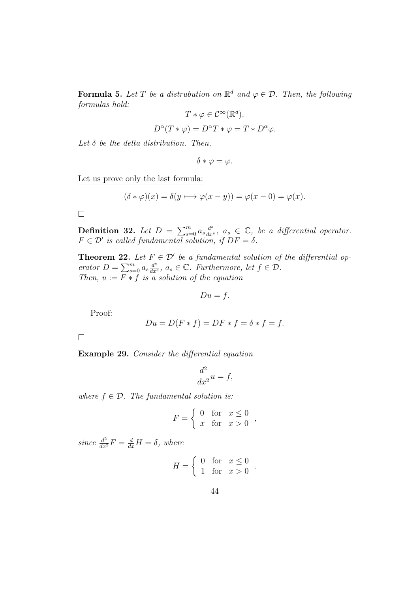**Formula 5.** Let T be a distrubution on  $\mathbb{R}^d$  and  $\varphi \in \mathcal{D}$ . Then, the following *formulas hold: d*

$$
T * \varphi \in C^{\infty}(\mathbb{R}^{d}).
$$
  

$$
D^{\alpha}(T * \varphi) = D^{\alpha}T * \varphi = T * D^{\alpha}\varphi.
$$

*Let δ be the delta distribution. Then,*

 $\delta * \varphi = \varphi$ .

Let us prove only the last formula:

$$
(\delta * \varphi)(x) = \delta(y \mapsto \varphi(x - y)) = \varphi(x - 0) = \varphi(x).
$$

□

**Definition 32.** *Let*  $D = \sum_{s=0}^{m} a_s \frac{d^s}{dx^s}$  $\frac{d^s}{dx^s}$ ,  $a_s \in \mathbb{C}$ , *be a differential operator.*  $F \in \mathcal{D}'$  *is called fundamental solution, if*  $DF = \delta$ *.* 

**Theorem 22.** Let  $F \in \mathcal{D}'$  be a fundamental solution of the differential op*erator*  $D = \sum_{s=0}^{m} a_s \frac{d^s}{dx^s}$  $\frac{d^s}{dx^s}$ ,  $a_s \in \mathbb{C}$ . Furthermore, let  $f \in \mathcal{D}$ . *Then,*  $u := F * f$  *is a solution of the equation* 

 $Du = f$ .

Proof:

$$
Du = D(F * f) = DF * f = \delta * f = f.
$$

□

**Example 29.** *Consider the differential equation*

$$
\frac{d^2}{dx^2}u = f,
$$

*where*  $f \in \mathcal{D}$ *. The fundamental solution is:* 

$$
F = \begin{cases} 0 & \text{for } x \le 0 \\ x & \text{for } x > 0 \end{cases}
$$

 $since \frac{d^2}{dx^2}F = \frac{d}{dx}H = \delta$ , where

$$
H = \begin{cases} 0 & \text{for } x \le 0 \\ 1 & \text{for } x > 0 \end{cases}
$$

*.*